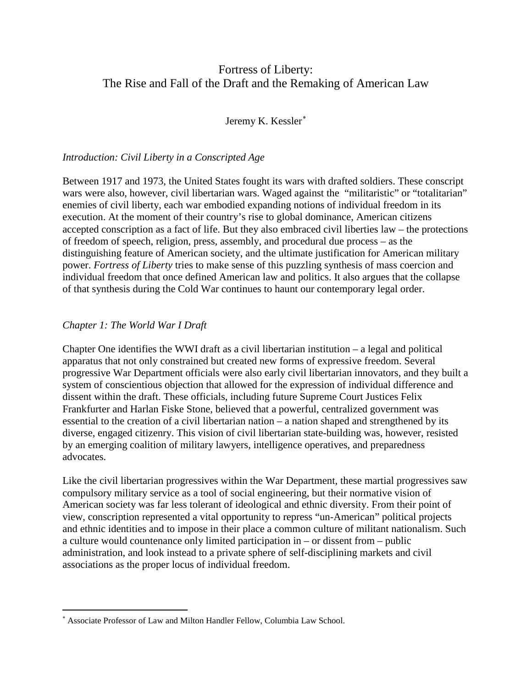# Fortress of Liberty: The Rise and Fall of the Draft and the Remaking of American Law

Jeremy K. Kessler<sup>\*</sup>

## *Introduction: Civil Liberty in a Conscripted Age*

Between 1917 and 1973, the United States fought its wars with drafted soldiers. These conscript wars were also, however, civil libertarian wars. Waged against the "militaristic" or "totalitarian" enemies of civil liberty, each war embodied expanding notions of individual freedom in its execution. At the moment of their country's rise to global dominance, American citizens accepted conscription as a fact of life. But they also embraced civil liberties law – the protections of freedom of speech, religion, press, assembly, and procedural due process – as the distinguishing feature of American society, and the ultimate justification for American military power. *Fortress of Liberty* tries to make sense of this puzzling synthesis of mass coercion and individual freedom that once defined American law and politics. It also argues that the collapse of that synthesis during the Cold War continues to haunt our contemporary legal order.

# *Chapter 1: The World War I Draft*

l

Chapter One identifies the WWI draft as a civil libertarian institution  $-$  a legal and political apparatus that not only constrained but created new forms of expressive freedom. Several progressive War Department officials were also early civil libertarian innovators, and they built a system of conscientious objection that allowed for the expression of individual difference and dissent within the draft. These officials, including future Supreme Court Justices Felix Frankfurter and Harlan Fiske Stone, believed that a powerful, centralized government was essential to the creation of a civil libertarian nation – a nation shaped and strengthened by its diverse, engaged citizenry. This vision of civil libertarian state-building was, however, resisted by an emerging coalition of military lawyers, intelligence operatives, and preparedness advocates.

Like the civil libertarian progressives within the War Department, these martial progressives saw compulsory military service as a tool of social engineering, but their normative vision of American society was far less tolerant of ideological and ethnic diversity. From their point of view, conscription represented a vital opportunity to repress "un-American" political projects and ethnic identities and to impose in their place a common culture of militant nationalism. Such a culture would countenance only limited participation in – or dissent from – public administration, and look instead to a private sphere of self-disciplining markets and civil associations as the proper locus of individual freedom.

<sup>∗</sup> Associate Professor of Law and Milton Handler Fellow, Columbia Law School.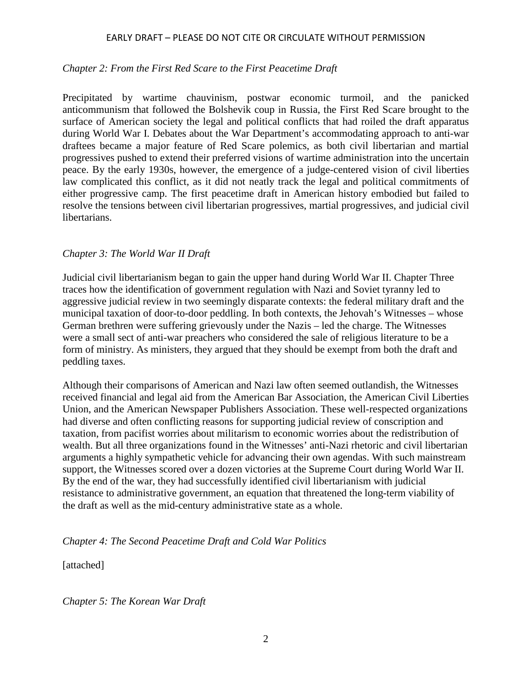## *Chapter 2: From the First Red Scare to the First Peacetime Draft*

Precipitated by wartime chauvinism, postwar economic turmoil, and the panicked anticommunism that followed the Bolshevik coup in Russia, the First Red Scare brought to the surface of American society the legal and political conflicts that had roiled the draft apparatus during World War I. Debates about the War Department's accommodating approach to anti-war draftees became a major feature of Red Scare polemics, as both civil libertarian and martial progressives pushed to extend their preferred visions of wartime administration into the uncertain peace. By the early 1930s, however, the emergence of a judge-centered vision of civil liberties law complicated this conflict, as it did not neatly track the legal and political commitments of either progressive camp. The first peacetime draft in American history embodied but failed to resolve the tensions between civil libertarian progressives, martial progressives, and judicial civil libertarians.

## *Chapter 3: The World War II Draft*

Judicial civil libertarianism began to gain the upper hand during World War II. Chapter Three traces how the identification of government regulation with Nazi and Soviet tyranny led to aggressive judicial review in two seemingly disparate contexts: the federal military draft and the municipal taxation of door-to-door peddling. In both contexts, the Jehovah's Witnesses – whose German brethren were suffering grievously under the Nazis – led the charge. The Witnesses were a small sect of anti-war preachers who considered the sale of religious literature to be a form of ministry. As ministers, they argued that they should be exempt from both the draft and peddling taxes.

Although their comparisons of American and Nazi law often seemed outlandish, the Witnesses received financial and legal aid from the American Bar Association, the American Civil Liberties Union, and the American Newspaper Publishers Association. These well-respected organizations had diverse and often conflicting reasons for supporting judicial review of conscription and taxation, from pacifist worries about militarism to economic worries about the redistribution of wealth. But all three organizations found in the Witnesses' anti-Nazi rhetoric and civil libertarian arguments a highly sympathetic vehicle for advancing their own agendas. With such mainstream support, the Witnesses scored over a dozen victories at the Supreme Court during World War II. By the end of the war, they had successfully identified civil libertarianism with judicial resistance to administrative government, an equation that threatened the long-term viability of the draft as well as the mid-century administrative state as a whole.

## *Chapter 4: The Second Peacetime Draft and Cold War Politics*

[attached]

*Chapter 5: The Korean War Draft*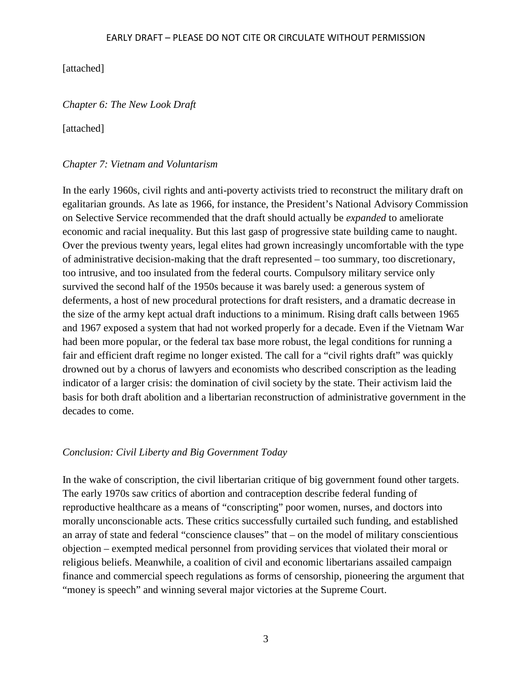[attached]

*Chapter 6: The New Look Draft*

[attached]

### *Chapter 7: Vietnam and Voluntarism*

In the early 1960s, civil rights and anti-poverty activists tried to reconstruct the military draft on egalitarian grounds. As late as 1966, for instance, the President's National Advisory Commission on Selective Service recommended that the draft should actually be *expanded* to ameliorate economic and racial inequality. But this last gasp of progressive state building came to naught. Over the previous twenty years, legal elites had grown increasingly uncomfortable with the type of administrative decision-making that the draft represented – too summary, too discretionary, too intrusive, and too insulated from the federal courts. Compulsory military service only survived the second half of the 1950s because it was barely used: a generous system of deferments, a host of new procedural protections for draft resisters, and a dramatic decrease in the size of the army kept actual draft inductions to a minimum. Rising draft calls between 1965 and 1967 exposed a system that had not worked properly for a decade. Even if the Vietnam War had been more popular, or the federal tax base more robust, the legal conditions for running a fair and efficient draft regime no longer existed. The call for a "civil rights draft" was quickly drowned out by a chorus of lawyers and economists who described conscription as the leading indicator of a larger crisis: the domination of civil society by the state. Their activism laid the basis for both draft abolition and a libertarian reconstruction of administrative government in the decades to come.

## *Conclusion: Civil Liberty and Big Government Today*

In the wake of conscription, the civil libertarian critique of big government found other targets. The early 1970s saw critics of abortion and contraception describe federal funding of reproductive healthcare as a means of "conscripting" poor women, nurses, and doctors into morally unconscionable acts. These critics successfully curtailed such funding, and established an array of state and federal "conscience clauses" that – on the model of military conscientious objection – exempted medical personnel from providing services that violated their moral or religious beliefs. Meanwhile, a coalition of civil and economic libertarians assailed campaign finance and commercial speech regulations as forms of censorship, pioneering the argument that "money is speech" and winning several major victories at the Supreme Court.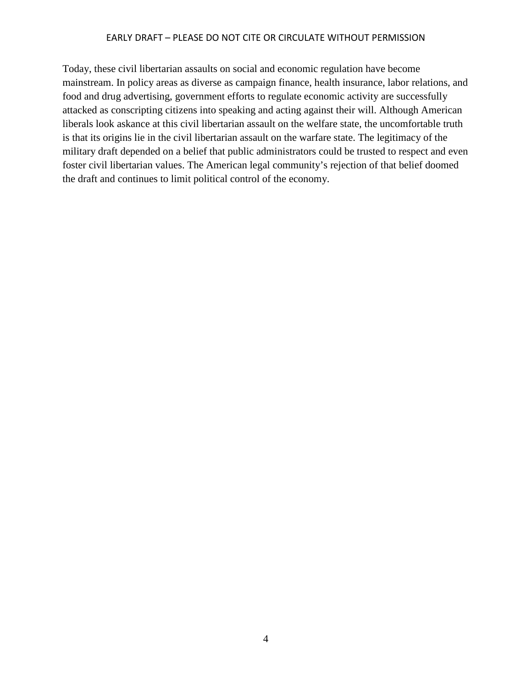Today, these civil libertarian assaults on social and economic regulation have become mainstream. In policy areas as diverse as campaign finance, health insurance, labor relations, and food and drug advertising, government efforts to regulate economic activity are successfully attacked as conscripting citizens into speaking and acting against their will. Although American liberals look askance at this civil libertarian assault on the welfare state, the uncomfortable truth is that its origins lie in the civil libertarian assault on the warfare state. The legitimacy of the military draft depended on a belief that public administrators could be trusted to respect and even foster civil libertarian values. The American legal community's rejection of that belief doomed the draft and continues to limit political control of the economy.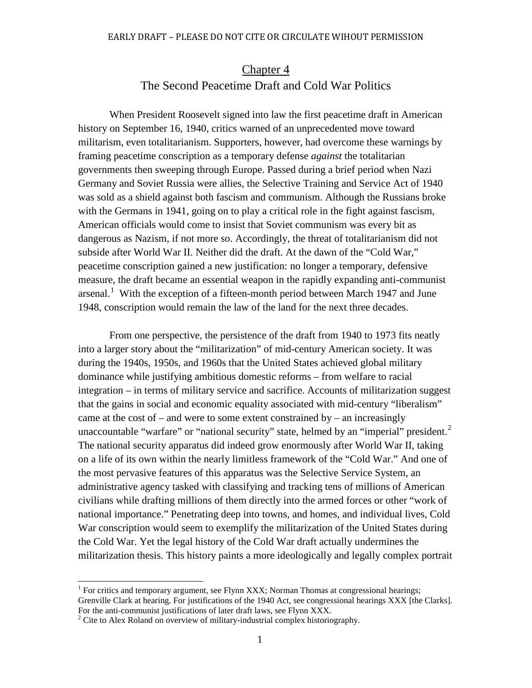# Chapter 4 The Second Peacetime Draft and Cold War Politics

When President Roosevelt signed into law the first peacetime draft in American history on September 16, 1940, critics warned of an unprecedented move toward militarism, even totalitarianism. Supporters, however, had overcome these warnings by framing peacetime conscription as a temporary defense *against* the totalitarian governments then sweeping through Europe. Passed during a brief period when Nazi Germany and Soviet Russia were allies, the Selective Training and Service Act of 1940 was sold as a shield against both fascism and communism. Although the Russians broke with the Germans in 1941, going on to play a critical role in the fight against fascism, American officials would come to insist that Soviet communism was every bit as dangerous as Nazism, if not more so. Accordingly, the threat of totalitarianism did not subside after World War II. Neither did the draft. At the dawn of the "Cold War," peacetime conscription gained a new justification: no longer a temporary, defensive measure, the draft became an essential weapon in the rapidly expanding anti-communist arsenal.<sup>[1](#page-4-0)</sup> With the exception of a fifteen-month period between March 1947 and June 1948, conscription would remain the law of the land for the next three decades.

From one perspective, the persistence of the draft from 1940 to 1973 fits neatly into a larger story about the "militarization" of mid-century American society. It was during the 1940s, 1950s, and 1960s that the United States achieved global military dominance while justifying ambitious domestic reforms – from welfare to racial integration – in terms of military service and sacrifice. Accounts of militarization suggest that the gains in social and economic equality associated with mid-century "liberalism" came at the cost of – and were to some extent constrained by – an increasingly unaccountable "warfare" or "national security" state, helmed by an "imperial" president. $2$ The national security apparatus did indeed grow enormously after World War II, taking on a life of its own within the nearly limitless framework of the "Cold War." And one of the most pervasive features of this apparatus was the Selective Service System, an administrative agency tasked with classifying and tracking tens of millions of American civilians while drafting millions of them directly into the armed forces or other "work of national importance." Penetrating deep into towns, and homes, and individual lives, Cold War conscription would seem to exemplify the militarization of the United States during the Cold War. Yet the legal history of the Cold War draft actually undermines the militarization thesis. This history paints a more ideologically and legally complex portrait

<span id="page-4-0"></span><sup>&</sup>lt;sup>1</sup> For critics and temporary argument, see Flynn XXX; Norman Thomas at congressional hearings; Grenville Clark at hearing. For justifications of the 1940 Act, see congressional hearings XXX [the Clarks]. For the anti-communist justifications of later draft laws, see Flynn XXX.  $^{2}$  Cite to Alex Roland on overview of military-industrial complex historiography.

<span id="page-4-1"></span>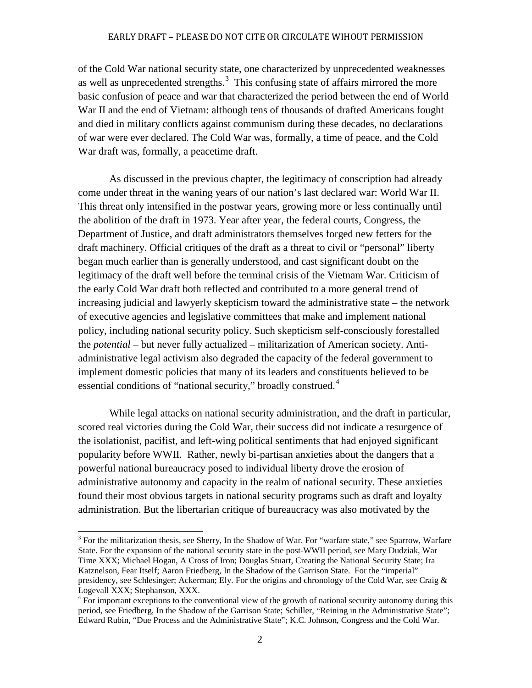of the Cold War national security state, one characterized by unprecedented weaknesses as well as unprecedented strengths. $3$  This confusing state of affairs mirrored the more basic confusion of peace and war that characterized the period between the end of World War II and the end of Vietnam: although tens of thousands of drafted Americans fought and died in military conflicts against communism during these decades, no declarations of war were ever declared. The Cold War was, formally, a time of peace, and the Cold War draft was, formally, a peacetime draft.

As discussed in the previous chapter, the legitimacy of conscription had already come under threat in the waning years of our nation's last declared war: World War II. This threat only intensified in the postwar years, growing more or less continually until the abolition of the draft in 1973. Year after year, the federal courts, Congress, the Department of Justice, and draft administrators themselves forged new fetters for the draft machinery. Official critiques of the draft as a threat to civil or "personal" liberty began much earlier than is generally understood, and cast significant doubt on the legitimacy of the draft well before the terminal crisis of the Vietnam War. Criticism of the early Cold War draft both reflected and contributed to a more general trend of increasing judicial and lawyerly skepticism toward the administrative state – the network of executive agencies and legislative committees that make and implement national policy, including national security policy. Such skepticism self-consciously forestalled the *potential* – but never fully actualized – militarization of American society. Antiadministrative legal activism also degraded the capacity of the federal government to implement domestic policies that many of its leaders and constituents believed to be essential conditions of "national security," broadly construed.<sup>[4](#page-5-1)</sup>

While legal attacks on national security administration, and the draft in particular, scored real victories during the Cold War, their success did not indicate a resurgence of the isolationist, pacifist, and left-wing political sentiments that had enjoyed significant popularity before WWII. Rather, newly bi-partisan anxieties about the dangers that a powerful national bureaucracy posed to individual liberty drove the erosion of administrative autonomy and capacity in the realm of national security. These anxieties found their most obvious targets in national security programs such as draft and loyalty administration. But the libertarian critique of bureaucracy was also motivated by the

<span id="page-5-0"></span> $3$  For the militarization thesis, see Sherry, In the Shadow of War. For "warfare state," see Sparrow, Warfare State. For the expansion of the national security state in the post-WWII period, see Mary Dudziak, War Time XXX; Michael Hogan, A Cross of Iron; Douglas Stuart, Creating the National Security State; Ira Katznelson, Fear Itself; Aaron Friedberg, In the Shadow of the Garrison State. For the "imperial" presidency, see Schlesinger; Ackerman; Ely. For the origins and chronology of the Cold War, see Craig & Logevall XXX; Stephanson, XXX.

<span id="page-5-1"></span><sup>&</sup>lt;sup>4</sup> For important exceptions to the conventional view of the growth of national security autonomy during this period, see Friedberg, In the Shadow of the Garrison State; Schiller, "Reining in the Administrative State"; Edward Rubin, "Due Process and the Administrative State"; K.C. Johnson, Congress and the Cold War.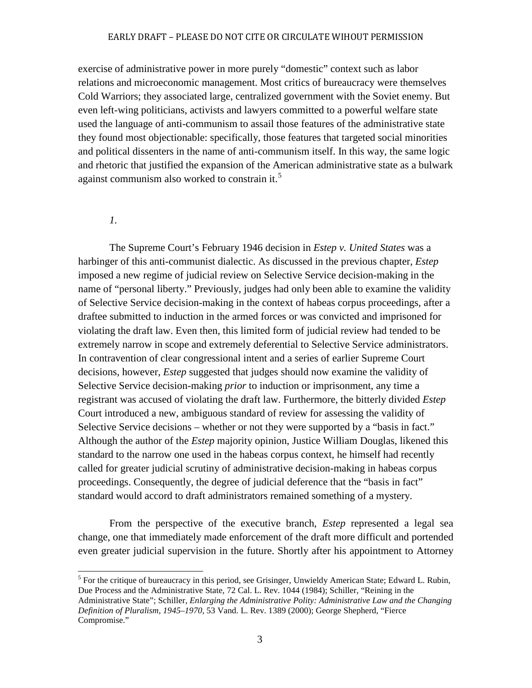exercise of administrative power in more purely "domestic" context such as labor relations and microeconomic management. Most critics of bureaucracy were themselves Cold Warriors; they associated large, centralized government with the Soviet enemy. But even left-wing politicians, activists and lawyers committed to a powerful welfare state used the language of anti-communism to assail those features of the administrative state they found most objectionable: specifically, those features that targeted social minorities and political dissenters in the name of anti-communism itself. In this way, the same logic and rhetoric that justified the expansion of the American administrative state as a bulwark against communism also worked to constrain it.<sup>[5](#page-6-0)</sup>

*1.*

The Supreme Court's February 1946 decision in *Estep v. United States* was a harbinger of this anti-communist dialectic. As discussed in the previous chapter, *Estep*  imposed a new regime of judicial review on Selective Service decision-making in the name of "personal liberty." Previously, judges had only been able to examine the validity of Selective Service decision-making in the context of habeas corpus proceedings, after a draftee submitted to induction in the armed forces or was convicted and imprisoned for violating the draft law. Even then, this limited form of judicial review had tended to be extremely narrow in scope and extremely deferential to Selective Service administrators. In contravention of clear congressional intent and a series of earlier Supreme Court decisions, however, *Estep* suggested that judges should now examine the validity of Selective Service decision-making *prior* to induction or imprisonment, any time a registrant was accused of violating the draft law. Furthermore, the bitterly divided *Estep*  Court introduced a new, ambiguous standard of review for assessing the validity of Selective Service decisions – whether or not they were supported by a "basis in fact." Although the author of the *Estep* majority opinion, Justice William Douglas, likened this standard to the narrow one used in the habeas corpus context, he himself had recently called for greater judicial scrutiny of administrative decision-making in habeas corpus proceedings. Consequently, the degree of judicial deference that the "basis in fact" standard would accord to draft administrators remained something of a mystery.

From the perspective of the executive branch, *Estep* represented a legal sea change, one that immediately made enforcement of the draft more difficult and portended even greater judicial supervision in the future. Shortly after his appointment to Attorney

<span id="page-6-0"></span><sup>&</sup>lt;sup>5</sup> For the critique of bureaucracy in this period, see Grisinger, Unwieldy American State; Edward L. Rubin, Due Process and the Administrative State, 72 Cal. L. Rev. 1044 (1984); Schiller, "Reining in the Administrative State"; Schiller, *Enlarging the Administrative Polity: Administrative Law and the Changing Definition of Pluralism, 1945–1970*, 53 Vand. L. Rev. 1389 (2000); George Shepherd, "Fierce Compromise."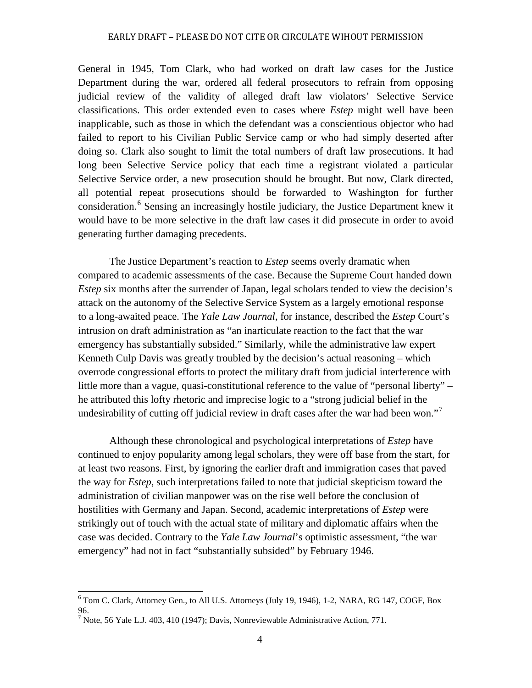General in 1945, Tom Clark, who had worked on draft law cases for the Justice Department during the war, ordered all federal prosecutors to refrain from opposing judicial review of the validity of alleged draft law violators' Selective Service classifications. This order extended even to cases where *Estep* might well have been inapplicable, such as those in which the defendant was a conscientious objector who had failed to report to his Civilian Public Service camp or who had simply deserted after doing so. Clark also sought to limit the total numbers of draft law prosecutions. It had long been Selective Service policy that each time a registrant violated a particular Selective Service order, a new prosecution should be brought. But now, Clark directed, all potential repeat prosecutions should be forwarded to Washington for further consideration.<sup>[6](#page-7-0)</sup> Sensing an increasingly hostile judiciary, the Justice Department knew it would have to be more selective in the draft law cases it did prosecute in order to avoid generating further damaging precedents.

The Justice Department's reaction to *Estep* seems overly dramatic when compared to academic assessments of the case. Because the Supreme Court handed down *Estep* six months after the surrender of Japan, legal scholars tended to view the decision's attack on the autonomy of the Selective Service System as a largely emotional response to a long-awaited peace. The *Yale Law Journal*, for instance, described the *Estep* Court's intrusion on draft administration as "an inarticulate reaction to the fact that the war emergency has substantially subsided." Similarly, while the administrative law expert Kenneth Culp Davis was greatly troubled by the decision's actual reasoning – which overrode congressional efforts to protect the military draft from judicial interference with little more than a vague, quasi-constitutional reference to the value of "personal liberty" – he attributed this lofty rhetoric and imprecise logic to a "strong judicial belief in the undesirability of cutting off judicial review in draft cases after the war had been won."<sup>[7](#page-7-1)</sup>

Although these chronological and psychological interpretations of *Estep* have continued to enjoy popularity among legal scholars, they were off base from the start, for at least two reasons. First, by ignoring the earlier draft and immigration cases that paved the way for *Estep*, such interpretations failed to note that judicial skepticism toward the administration of civilian manpower was on the rise well before the conclusion of hostilities with Germany and Japan. Second, academic interpretations of *Estep* were strikingly out of touch with the actual state of military and diplomatic affairs when the case was decided. Contrary to the *Yale Law Journal*'s optimistic assessment, "the war emergency" had not in fact "substantially subsided" by February 1946.

<span id="page-7-0"></span><sup>6</sup> Tom C. Clark, Attorney Gen., to All U.S. Attorneys (July 19, 1946), 1-2, NARA, RG 147, COGF, Box 96.

<span id="page-7-1"></span> $<sup>7</sup>$  Note, 56 Yale L.J. 403, 410 (1947); Davis, Nonreviewable Administrative Action, 771.</sup>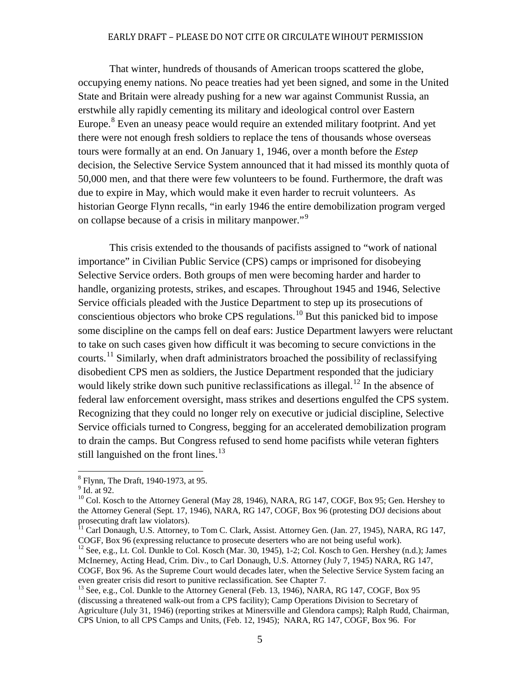That winter, hundreds of thousands of American troops scattered the globe, occupying enemy nations. No peace treaties had yet been signed, and some in the United State and Britain were already pushing for a new war against Communist Russia, an erstwhile ally rapidly cementing its military and ideological control over Eastern Europe.<sup>[8](#page-8-0)</sup> Even an uneasy peace would require an extended military footprint. And yet there were not enough fresh soldiers to replace the tens of thousands whose overseas tours were formally at an end. On January 1, 1946, over a month before the *Estep*  decision, the Selective Service System announced that it had missed its monthly quota of 50,000 men, and that there were few volunteers to be found. Furthermore, the draft was due to expire in May, which would make it even harder to recruit volunteers. As historian George Flynn recalls, "in early 1946 the entire demobilization program verged on collapse because of a crisis in military manpower."<sup>[9](#page-8-1)</sup>

This crisis extended to the thousands of pacifists assigned to "work of national importance" in Civilian Public Service (CPS) camps or imprisoned for disobeying Selective Service orders. Both groups of men were becoming harder and harder to handle, organizing protests, strikes, and escapes. Throughout 1945 and 1946, Selective Service officials pleaded with the Justice Department to step up its prosecutions of conscientious objectors who broke CPS regulations.<sup>[10](#page-8-2)</sup> But this panicked bid to impose some discipline on the camps fell on deaf ears: Justice Department lawyers were reluctant to take on such cases given how difficult it was becoming to secure convictions in the courts.<sup>[11](#page-8-3)</sup> Similarly, when draft administrators broached the possibility of reclassifying disobedient CPS men as soldiers, the Justice Department responded that the judiciary would likely strike down such punitive reclassifications as illegal.<sup>[12](#page-8-4)</sup> In the absence of federal law enforcement oversight, mass strikes and desertions engulfed the CPS system. Recognizing that they could no longer rely on executive or judicial discipline, Selective Service officials turned to Congress, begging for an accelerated demobilization program to drain the camps. But Congress refused to send home pacifists while veteran fighters still languished on the front lines.<sup>[13](#page-8-5)</sup>

<span id="page-8-0"></span> ${}^{8}$  Flynn, The Draft, 1940-1973, at 95.<br> ${}^{9}$  Id. at 92.

<span id="page-8-2"></span><span id="page-8-1"></span><sup>&</sup>lt;sup>10</sup> Col. Kosch to the Attorney General (May 28, 1946), NARA, RG 147, COGF, Box 95; Gen. Hershey to the Attorney General (Sept. 17, 1946), NARA, RG 147, COGF, Box 96 (protesting DOJ decisions about prosecuting draft law violators).

<span id="page-8-3"></span><sup>&</sup>lt;sup>11</sup> Carl Donaugh, U.S. Attorney, to Tom C. Clark, Assist. Attorney Gen. (Jan. 27, 1945), NARA, RG 147, COGF, Box 96 (expressing reluctance to prosecute deserters who are not being useful work).

<span id="page-8-4"></span><sup>&</sup>lt;sup>12</sup> See, e.g., Lt. Col. Dunkle to Col. Kosch (Mar. 30, 1945), 1-2; Col. Kosch to Gen. Hershey (n.d.); James McInerney, Acting Head, Crim. Div., to Carl Donaugh, U.S. Attorney (July 7, 1945) NARA, RG 147, COGF, Box 96. As the Supreme Court would decades later, when the Selective Service System facing an even greater crisis did resort to punitive reclassification. See Chapter 7.<br><sup>13</sup> See, e.g., Col. Dunkle to the Attorney General (Feb. 13, 1946), NARA, RG 147, COGF, Box 95

<span id="page-8-5"></span><sup>(</sup>discussing a threatened walk-out from a CPS facility); Camp Operations Division to Secretary of Agriculture (July 31, 1946) (reporting strikes at Minersville and Glendora camps); Ralph Rudd, Chairman, CPS Union, to all CPS Camps and Units, (Feb. 12, 1945); NARA, RG 147, COGF, Box 96. For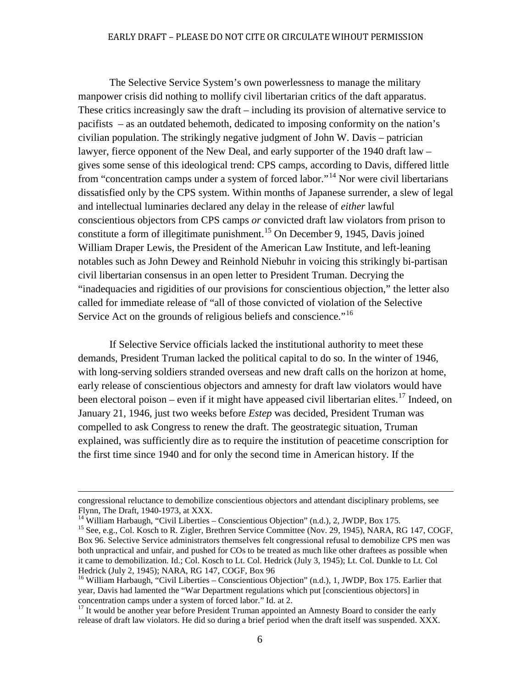The Selective Service System's own powerlessness to manage the military manpower crisis did nothing to mollify civil libertarian critics of the daft apparatus. These critics increasingly saw the draft – including its provision of alternative service to pacifists – as an outdated behemoth, dedicated to imposing conformity on the nation's civilian population. The strikingly negative judgment of John W. Davis – patrician lawyer, fierce opponent of the New Deal, and early supporter of the 1940 draft law – gives some sense of this ideological trend: CPS camps, according to Davis, differed little from "concentration camps under a system of forced labor."<sup>[14](#page-9-0)</sup> Nor were civil libertarians dissatisfied only by the CPS system. Within months of Japanese surrender, a slew of legal and intellectual luminaries declared any delay in the release of *either* lawful conscientious objectors from CPS camps *or* convicted draft law violators from prison to constitute a form of illegitimate punishment.<sup>[15](#page-9-1)</sup> On December 9, 1945, Davis joined William Draper Lewis, the President of the American Law Institute, and left-leaning notables such as John Dewey and Reinhold Niebuhr in voicing this strikingly bi-partisan civil libertarian consensus in an open letter to President Truman. Decrying the "inadequacies and rigidities of our provisions for conscientious objection," the letter also called for immediate release of "all of those convicted of violation of the Selective Service Act on the grounds of religious beliefs and conscience."<sup>[16](#page-9-2)</sup>

If Selective Service officials lacked the institutional authority to meet these demands, President Truman lacked the political capital to do so. In the winter of 1946, with long-serving soldiers stranded overseas and new draft calls on the horizon at home, early release of conscientious objectors and amnesty for draft law violators would have been electoral poison – even if it might have appeased civil libertarian elites.<sup>[17](#page-9-3)</sup> Indeed, on January 21, 1946, just two weeks before *Estep* was decided, President Truman was compelled to ask Congress to renew the draft. The geostrategic situation, Truman explained, was sufficiently dire as to require the institution of peacetime conscription for the first time since 1940 and for only the second time in American history. If the

j congressional reluctance to demobilize conscientious objectors and attendant disciplinary problems, see Flynn, The Draft, 1940-1973, at XXX.<br><sup>14</sup> William Harbaugh, "Civil Liberties – Conscientious Objection" (n.d.), 2, JWDP, Box 175.<br><sup>15</sup> See, e.g., Col. Kosch to R. Zigler, Brethren Service Committee (Nov. 29, 1945), NARA, R

<span id="page-9-0"></span>

<span id="page-9-1"></span>Box 96. Selective Service administrators themselves felt congressional refusal to demobilize CPS men was both unpractical and unfair, and pushed for COs to be treated as much like other draftees as possible when it came to demobilization. Id.; Col. Kosch to Lt. Col. Hedrick (July 3, 1945); Lt. Col. Dunkle to Lt. Col Hedrick (July 2, 1945); NARA, RG 147, COGF, Box 96

<span id="page-9-2"></span><sup>&</sup>lt;sup>16</sup> William Harbaugh, "Civil Liberties – Conscientious Objection" (n.d.), 1, JWDP, Box 175. Earlier that year, Davis had lamented the "War Department regulations which put [conscientious objectors] in concentration camps under a system of forced labor." Id. at 2. <sup>17</sup> It would be another year before President Truman appointed an Amnesty Board to consider the early

<span id="page-9-3"></span>release of draft law violators. He did so during a brief period when the draft itself was suspended. XXX.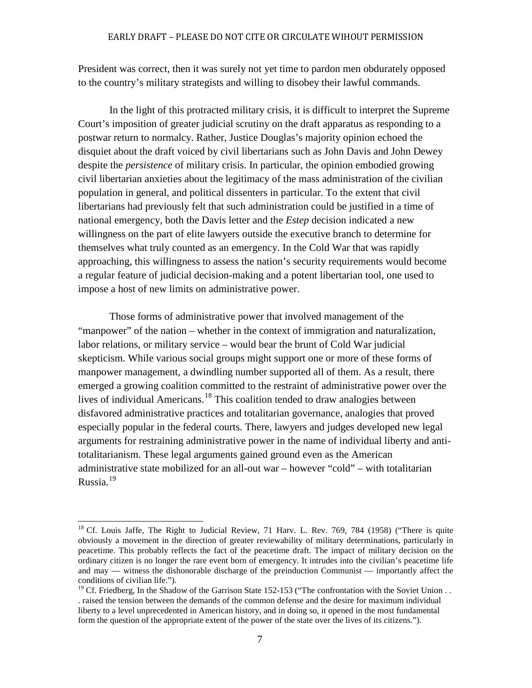President was correct, then it was surely not yet time to pardon men obdurately opposed to the country's military strategists and willing to disobey their lawful commands.

In the light of this protracted military crisis, it is difficult to interpret the Supreme Court's imposition of greater judicial scrutiny on the draft apparatus as responding to a postwar return to normalcy. Rather, Justice Douglas's majority opinion echoed the disquiet about the draft voiced by civil libertarians such as John Davis and John Dewey despite the *persistence* of military crisis. In particular, the opinion embodied growing civil libertarian anxieties about the legitimacy of the mass administration of the civilian population in general, and political dissenters in particular. To the extent that civil libertarians had previously felt that such administration could be justified in a time of national emergency, both the Davis letter and the *Estep* decision indicated a new willingness on the part of elite lawyers outside the executive branch to determine for themselves what truly counted as an emergency. In the Cold War that was rapidly approaching, this willingness to assess the nation's security requirements would become a regular feature of judicial decision-making and a potent libertarian tool, one used to impose a host of new limits on administrative power.

Those forms of administrative power that involved management of the "manpower" of the nation – whether in the context of immigration and naturalization, labor relations, or military service – would bear the brunt of Cold War judicial skepticism. While various social groups might support one or more of these forms of manpower management, a dwindling number supported all of them. As a result, there emerged a growing coalition committed to the restraint of administrative power over the lives of individual Americans.<sup>[18](#page-10-0)</sup> This coalition tended to draw analogies between disfavored administrative practices and totalitarian governance, analogies that proved especially popular in the federal courts. There, lawyers and judges developed new legal arguments for restraining administrative power in the name of individual liberty and antitotalitarianism. These legal arguments gained ground even as the American administrative state mobilized for an all-out war – however "cold" – with totalitarian Russia. $19$ 

<span id="page-10-0"></span><sup>&</sup>lt;sup>18</sup> Cf. Louis Jaffe, The Right to Judicial Review, 71 Harv. L. Rev. 769, 784 (1958) ("There is quite obviously a movement in the direction of greater reviewability of military determinations, particularly in peacetime. This probably reflects the fact of the peacetime draft. The impact of military decision on the ordinary citizen is no longer the rare event born of emergency. It intrudes into the civilian's peacetime life and may — witness the dishonorable discharge of the preinduction Communist — importantly affect the conditions of civilian life.").

<span id="page-10-1"></span><sup>&</sup>lt;sup>19</sup> Cf. Friedberg, In the Shadow of the Garrison State 152-153 ("The confrontation with the Soviet Union . . . raised the tension between the demands of the common defense and the desire for maximum individual liberty to a level unprecedented in American history, and in doing so, it opened in the most fundamental form the question of the appropriate extent of the power of the state over the lives of its citizens.").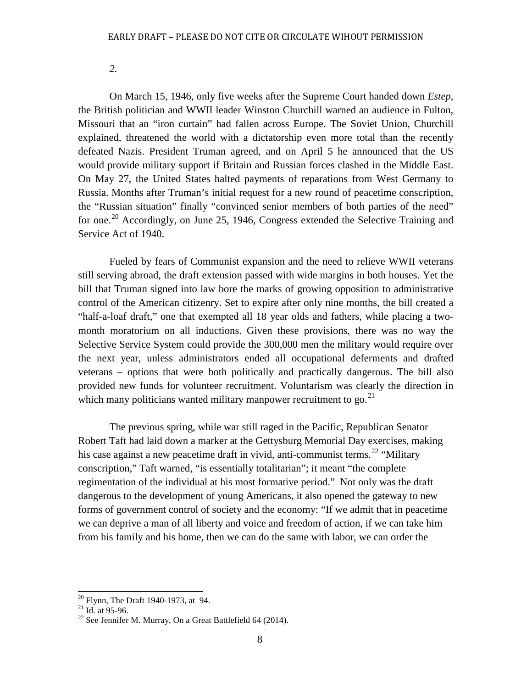*2.*

On March 15, 1946, only five weeks after the Supreme Court handed down *Estep*, the British politician and WWII leader Winston Churchill warned an audience in Fulton, Missouri that an "iron curtain" had fallen across Europe. The Soviet Union, Churchill explained, threatened the world with a dictatorship even more total than the recently defeated Nazis. President Truman agreed, and on April 5 he announced that the US would provide military support if Britain and Russian forces clashed in the Middle East. On May 27, the United States halted payments of reparations from West Germany to Russia. Months after Truman's initial request for a new round of peacetime conscription, the "Russian situation" finally "convinced senior members of both parties of the need" for one.<sup>[20](#page-11-0)</sup> Accordingly, on June 25, 1946, Congress extended the Selective Training and Service Act of 1940.

Fueled by fears of Communist expansion and the need to relieve WWII veterans still serving abroad, the draft extension passed with wide margins in both houses. Yet the bill that Truman signed into law bore the marks of growing opposition to administrative control of the American citizenry. Set to expire after only nine months, the bill created a "half-a-loaf draft," one that exempted all 18 year olds and fathers, while placing a twomonth moratorium on all inductions. Given these provisions, there was no way the Selective Service System could provide the 300,000 men the military would require over the next year, unless administrators ended all occupational deferments and drafted veterans – options that were both politically and practically dangerous. The bill also provided new funds for volunteer recruitment. Voluntarism was clearly the direction in which many politicians wanted military manpower recruitment to go. $^{21}$  $^{21}$  $^{21}$ 

The previous spring, while war still raged in the Pacific, Republican Senator Robert Taft had laid down a marker at the Gettysburg Memorial Day exercises, making his case against a new peacetime draft in vivid, anti-communist terms.<sup>[22](#page-11-2)</sup> "Military" conscription," Taft warned, "is essentially totalitarian"; it meant "the complete regimentation of the individual at his most formative period." Not only was the draft dangerous to the development of young Americans, it also opened the gateway to new forms of government control of society and the economy: "If we admit that in peacetime we can deprive a man of all liberty and voice and freedom of action, if we can take him from his family and his home, then we can do the same with labor, we can order the

<span id="page-11-2"></span><span id="page-11-1"></span>

<span id="page-11-0"></span><sup>&</sup>lt;sup>20</sup> Flynn, The Draft 1940-1973, at 94.<br><sup>21</sup> Id. at 95-96.<br><sup>22</sup> See Jennifer M. Murray, On a Great Battlefield 64 (2014).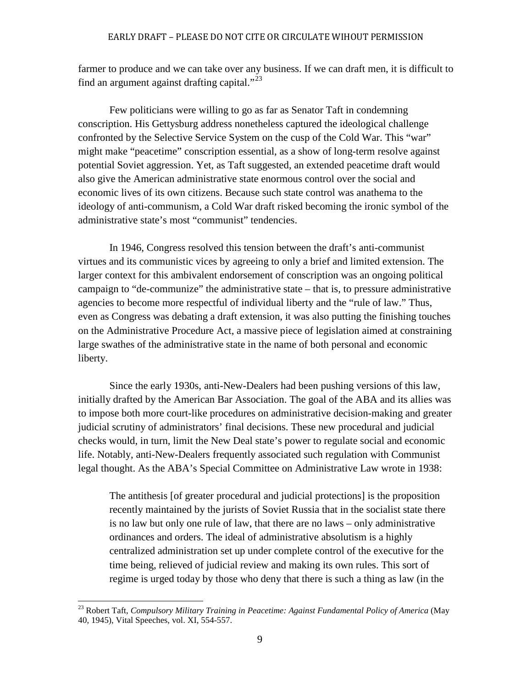farmer to produce and we can take over any business. If we can draft men, it is difficult to find an argument against drafting capital."<sup>[23](#page-12-0)</sup>

Few politicians were willing to go as far as Senator Taft in condemning conscription. His Gettysburg address nonetheless captured the ideological challenge confronted by the Selective Service System on the cusp of the Cold War. This "war" might make "peacetime" conscription essential, as a show of long-term resolve against potential Soviet aggression. Yet, as Taft suggested, an extended peacetime draft would also give the American administrative state enormous control over the social and economic lives of its own citizens. Because such state control was anathema to the ideology of anti-communism, a Cold War draft risked becoming the ironic symbol of the administrative state's most "communist" tendencies.

In 1946, Congress resolved this tension between the draft's anti-communist virtues and its communistic vices by agreeing to only a brief and limited extension. The larger context for this ambivalent endorsement of conscription was an ongoing political campaign to "de-communize" the administrative state – that is, to pressure administrative agencies to become more respectful of individual liberty and the "rule of law." Thus, even as Congress was debating a draft extension, it was also putting the finishing touches on the Administrative Procedure Act, a massive piece of legislation aimed at constraining large swathes of the administrative state in the name of both personal and economic liberty.

Since the early 1930s, anti-New-Dealers had been pushing versions of this law, initially drafted by the American Bar Association. The goal of the ABA and its allies was to impose both more court-like procedures on administrative decision-making and greater judicial scrutiny of administrators' final decisions. These new procedural and judicial checks would, in turn, limit the New Deal state's power to regulate social and economic life. Notably, anti-New-Dealers frequently associated such regulation with Communist legal thought. As the ABA's Special Committee on Administrative Law wrote in 1938:

The antithesis [of greater procedural and judicial protections] is the proposition recently maintained by the jurists of Soviet Russia that in the socialist state there is no law but only one rule of law, that there are no laws – only administrative ordinances and orders. The ideal of administrative absolutism is a highly centralized administration set up under complete control of the executive for the time being, relieved of judicial review and making its own rules. This sort of regime is urged today by those who deny that there is such a thing as law (in the

<span id="page-12-0"></span><sup>23</sup> Robert Taft, *Compulsory Military Training in Peacetime: Against Fundamental Policy of America* (May 40, 1945), Vital Speeches, vol. XI, 554-557.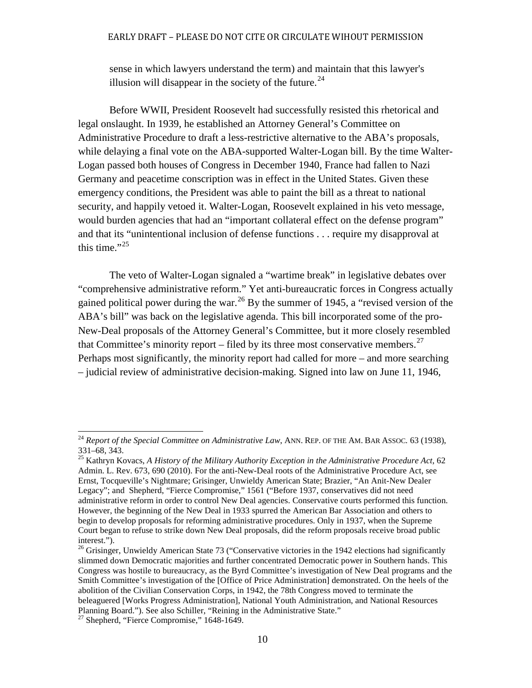sense in which lawyers understand the term) and maintain that this lawyer's illusion will disappear in the society of the future.<sup>[24](#page-13-0)</sup>

Before WWII, President Roosevelt had successfully resisted this rhetorical and legal onslaught. In 1939, he established an Attorney General's Committee on Administrative Procedure to draft a less-restrictive alternative to the ABA's proposals, while delaying a final vote on the ABA-supported Walter-Logan bill. By the time Walter-Logan passed both houses of Congress in December 1940, France had fallen to Nazi Germany and peacetime conscription was in effect in the United States. Given these emergency conditions, the President was able to paint the bill as a threat to national security, and happily vetoed it. Walter-Logan, Roosevelt explained in his veto message, would burden agencies that had an "important collateral effect on the defense program" and that its "unintentional inclusion of defense functions . . . require my disapproval at this time." $^{25}$  $^{25}$  $^{25}$ 

The veto of Walter-Logan signaled a "wartime break" in legislative debates over "comprehensive administrative reform." Yet anti-bureaucratic forces in Congress actually gained political power during the war.<sup>[26](#page-13-2)</sup> By the summer of 1945, a "revised version of the ABA's bill" was back on the legislative agenda. This bill incorporated some of the pro-New-Deal proposals of the Attorney General's Committee, but it more closely resembled that Committee's minority report – filed by its three most conservative members.<sup>[27](#page-13-3)</sup> Perhaps most significantly, the minority report had called for more – and more searching – judicial review of administrative decision-making. Signed into law on June 11, 1946,

<span id="page-13-0"></span><sup>&</sup>lt;sup>24</sup> *Report of the Special Committee on Administrative Law*, ANN. REP. OF THE AM. BAR ASSOC. 63 (1938), 331–68, 343.

<span id="page-13-1"></span><sup>&</sup>lt;sup>25</sup> Kathryn Kovacs, *A History of the Military Authority Exception in the Administrative Procedure Act*, 62 Admin. L. Rev. 673, 690 (2010). For the anti-New-Deal roots of the Administrative Procedure Act, see Ernst, Tocqueville's Nightmare; Grisinger, Unwieldy American State; Brazier, "An Anit-New Dealer Legacy"; and Shepherd, "Fierce Compromise," 1561 ("Before 1937, conservatives did not need administrative reform in order to control New Deal agencies. Conservative courts performed this function. However, the beginning of the New Deal in 1933 spurred the American Bar Association and others to begin to develop proposals for reforming administrative procedures. Only in 1937, when the Supreme Court began to refuse to strike down New Deal proposals, did the reform proposals receive broad public

<span id="page-13-2"></span><sup>&</sup>lt;sup>26</sup> Grisinger, Unwieldy American State 73 ("Conservative victories in the 1942 elections had significantly slimmed down Democratic majorities and further concentrated Democratic power in Southern hands. This Congress was hostile to bureaucracy, as the Byrd Committee's investigation of New Deal programs and the Smith Committee's investigation of the [Office of Price Administration] demonstrated. On the heels of the abolition of the Civilian Conservation Corps, in 1942, the 78th Congress moved to terminate the beleaguered [Works Progress Administration], National Youth Administration, and National Resources Planning Board."). See also Schiller, "Reining in the Administrative State."

<span id="page-13-3"></span> $27$  Shepherd, "Fierce Compromise," 1648-1649.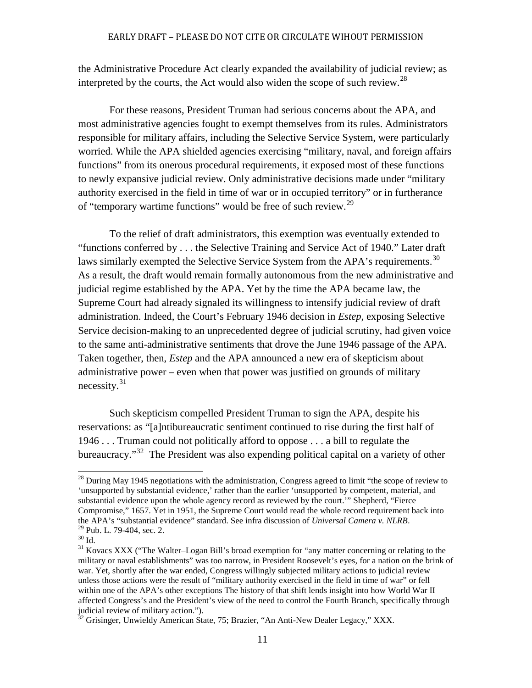the Administrative Procedure Act clearly expanded the availability of judicial review; as interpreted by the courts, the Act would also widen the scope of such review.<sup>[28](#page-14-0)</sup>

For these reasons, President Truman had serious concerns about the APA, and most administrative agencies fought to exempt themselves from its rules. Administrators responsible for military affairs, including the Selective Service System, were particularly worried. While the APA shielded agencies exercising "military, naval, and foreign affairs functions" from its onerous procedural requirements, it exposed most of these functions to newly expansive judicial review. Only administrative decisions made under "military authority exercised in the field in time of war or in occupied territory" or in furtherance of "temporary wartime functions" would be free of such review.[29](#page-14-1)

To the relief of draft administrators, this exemption was eventually extended to "functions conferred by . . . the Selective Training and Service Act of 1940." Later draft laws similarly exempted the Selective Service System from the APA's requirements.<sup>[30](#page-14-2)</sup> As a result, the draft would remain formally autonomous from the new administrative and judicial regime established by the APA. Yet by the time the APA became law, the Supreme Court had already signaled its willingness to intensify judicial review of draft administration. Indeed, the Court's February 1946 decision in *Estep*, exposing Selective Service decision-making to an unprecedented degree of judicial scrutiny, had given voice to the same anti-administrative sentiments that drove the June 1946 passage of the APA. Taken together, then, *Estep* and the APA announced a new era of skepticism about administrative power – even when that power was justified on grounds of military necessity. $31$ 

Such skepticism compelled President Truman to sign the APA, despite his reservations: as "[a]ntibureaucratic sentiment continued to rise during the first half of 1946 . . . Truman could not politically afford to oppose . . . a bill to regulate the bureaucracy."<sup>32</sup> The President was also expending political capital on a variety of other

<span id="page-14-0"></span> $^{28}$  During May 1945 negotiations with the administration, Congress agreed to limit "the scope of review to 'unsupported by substantial evidence,' rather than the earlier 'unsupported by competent, material, and substantial evidence upon the whole agency record as reviewed by the court.'" Shepherd, "Fierce Compromise," 1657. Yet in 1951, the Supreme Court would read the whole record requirement back into the APA's "substantial evidence" standard. See infra discussion of *Universal Camera v. NLRB*.

<span id="page-14-3"></span><span id="page-14-2"></span><span id="page-14-1"></span><sup>&</sup>lt;sup>29</sup> Pub. L. 79-404, sec. 2.<br><sup>30</sup> Id.<br><sup>31</sup> Kovacs XXX ("The Walter-Logan Bill's broad exemption for "any matter concerning or relating to the military or naval establishments" was too narrow, in President Roosevelt's eyes, for a nation on the brink of war. Yet, shortly after the war ended, Congress willingly subjected military actions to judicial review unless those actions were the result of "military authority exercised in the field in time of war" or fell within one of the APA's other exceptions The history of that shift lends insight into how World War II affected Congress's and the President's view of the need to control the Fourth Branch, specifically through judicial review of military action.").

<span id="page-14-4"></span><sup>&</sup>lt;sup>32</sup> Grisinger, Unwieldy American State, 75; Brazier, "An Anti-New Dealer Legacy," XXX.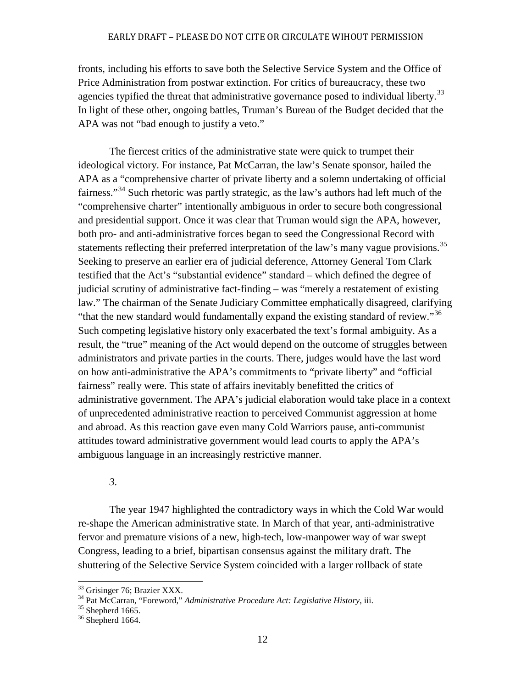fronts, including his efforts to save both the Selective Service System and the Office of Price Administration from postwar extinction. For critics of bureaucracy, these two agencies typified the threat that administrative governance posed to individual liberty.<sup>[33](#page-15-0)</sup> In light of these other, ongoing battles, Truman's Bureau of the Budget decided that the APA was not "bad enough to justify a veto."

The fiercest critics of the administrative state were quick to trumpet their ideological victory. For instance, Pat McCarran, the law's Senate sponsor, hailed the APA as a "comprehensive charter of private liberty and a solemn undertaking of official fairness."<sup>[34](#page-15-1)</sup> Such rhetoric was partly strategic, as the law's authors had left much of the "comprehensive charter" intentionally ambiguous in order to secure both congressional and presidential support. Once it was clear that Truman would sign the APA, however, both pro- and anti-administrative forces began to seed the Congressional Record with statements reflecting their preferred interpretation of the law's many vague provisions.<sup>[35](#page-15-2)</sup> Seeking to preserve an earlier era of judicial deference, Attorney General Tom Clark testified that the Act's "substantial evidence" standard – which defined the degree of judicial scrutiny of administrative fact-finding – was "merely a restatement of existing law." The chairman of the Senate Judiciary Committee emphatically disagreed, clarifying "that the new standard would fundamentally expand the existing standard of review."<sup>[36](#page-15-3)</sup> Such competing legislative history only exacerbated the text's formal ambiguity. As a result, the "true" meaning of the Act would depend on the outcome of struggles between administrators and private parties in the courts. There, judges would have the last word on how anti-administrative the APA's commitments to "private liberty" and "official fairness" really were. This state of affairs inevitably benefitted the critics of administrative government. The APA's judicial elaboration would take place in a context of unprecedented administrative reaction to perceived Communist aggression at home and abroad. As this reaction gave even many Cold Warriors pause, anti-communist attitudes toward administrative government would lead courts to apply the APA's ambiguous language in an increasingly restrictive manner.

*3.*

The year 1947 highlighted the contradictory ways in which the Cold War would re-shape the American administrative state. In March of that year, anti-administrative fervor and premature visions of a new, high-tech, low-manpower way of war swept Congress, leading to a brief, bipartisan consensus against the military draft. The shuttering of the Selective Service System coincided with a larger rollback of state

<span id="page-15-1"></span><span id="page-15-0"></span><sup>&</sup>lt;sup>33</sup> Grisinger 76; Brazier XXX.<br><sup>34</sup> Pat McCarran, "Foreword," *Administrative Procedure Act: Legislative History*, iii.<br><sup>35</sup> Shepherd 1665.<br><sup>36</sup> Shepherd 1664.

<span id="page-15-2"></span>

<span id="page-15-3"></span>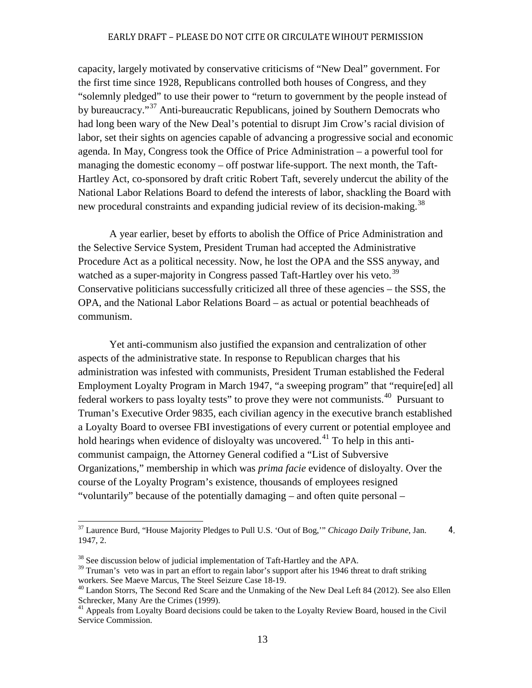capacity, largely motivated by conservative criticisms of "New Deal" government. For the first time since 1928, Republicans controlled both houses of Congress, and they "solemnly pledged" to use their power to "return to government by the people instead of by bureaucracy."<sup>[37](#page-16-0)</sup> Anti-bureaucratic Republicans, joined by Southern Democrats who had long been wary of the New Deal's potential to disrupt Jim Crow's racial division of labor, set their sights on agencies capable of advancing a progressive social and economic agenda. In May, Congress took the Office of Price Administration – a powerful tool for managing the domestic economy – off postwar life-support. The next month, the Taft-Hartley Act, co-sponsored by draft critic Robert Taft, severely undercut the ability of the National Labor Relations Board to defend the interests of labor, shackling the Board with new procedural constraints and expanding judicial review of its decision-making.<sup>[38](#page-16-1)</sup>

A year earlier, beset by efforts to abolish the Office of Price Administration and the Selective Service System, President Truman had accepted the Administrative Procedure Act as a political necessity. Now, he lost the OPA and the SSS anyway, and watched as a super-majority in Congress passed Taft-Hartley over his veto.<sup>[39](#page-16-2)</sup> Conservative politicians successfully criticized all three of these agencies – the SSS, the OPA, and the National Labor Relations Board – as actual or potential beachheads of communism.

Yet anti-communism also justified the expansion and centralization of other aspects of the administrative state. In response to Republican charges that his administration was infested with communists, President Truman established the Federal Employment Loyalty Program in March 1947, "a sweeping program" that "require[ed] all federal workers to pass loyalty tests" to prove they were not communists.<sup>40</sup> Pursuant to Truman's Executive Order 9835, each civilian agency in the executive branch established a Loyalty Board to oversee FBI investigations of every current or potential employee and hold hearings when evidence of disloyalty was uncovered.<sup>[41](#page-16-4)</sup> To help in this anticommunist campaign, the Attorney General codified a "List of Subversive Organizations," membership in which was *prima facie* evidence of disloyalty. Over the course of the Loyalty Program's existence, thousands of employees resigned "voluntarily" because of the potentially damaging – and often quite personal –

<span id="page-16-0"></span><sup>&</sup>lt;sup>37</sup> Laurence Burd, "House Majority Pledges to Pull U.S. 'Out of Bog," *Chicago Daily Tribune*, Jan. 4, 1947, 2.

<span id="page-16-1"></span> $38$  See discussion below of judicial implementation of Taft-Hartley and the APA.

<span id="page-16-2"></span> $39$  Truman's veto was in part an effort to regain labor's support after his 1946 threat to draft striking workers. See Maeve Marcus, The Steel Seizure Case 18-19.

<span id="page-16-3"></span> $^{40}$  Landon Storrs, The Second Red Scare and the Unmaking of the New Deal Left 84 (2012). See also Ellen Schrecker, Many Are the Crimes (1999).

<span id="page-16-4"></span><sup>&</sup>lt;sup>41</sup> Appeals from Loyalty Board decisions could be taken to the Loyalty Review Board, housed in the Civil Service Commission.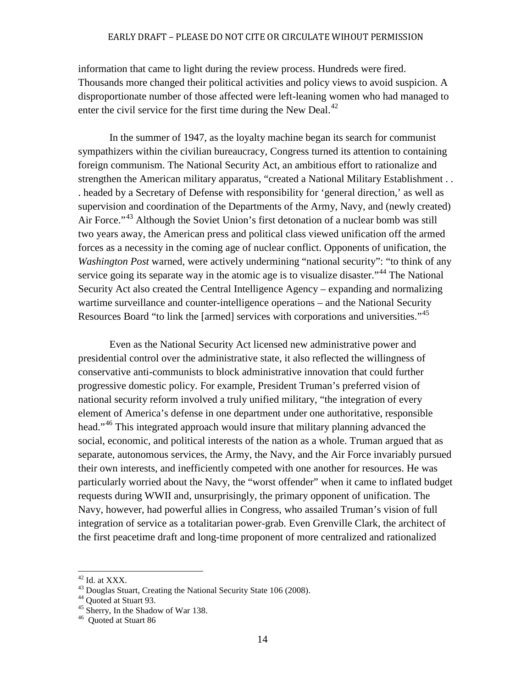information that came to light during the review process. Hundreds were fired. Thousands more changed their political activities and policy views to avoid suspicion. A disproportionate number of those affected were left-leaning women who had managed to enter the civil service for the first time during the New Deal. $^{42}$  $^{42}$  $^{42}$ 

In the summer of 1947, as the loyalty machine began its search for communist sympathizers within the civilian bureaucracy, Congress turned its attention to containing foreign communism. The National Security Act, an ambitious effort to rationalize and strengthen the American military apparatus, "created a National Military Establishment . . . headed by a Secretary of Defense with responsibility for 'general direction,' as well as supervision and coordination of the Departments of the Army, Navy, and (newly created) Air Force."<sup>[43](#page-17-1)</sup> Although the Soviet Union's first detonation of a nuclear bomb was still two years away, the American press and political class viewed unification off the armed forces as a necessity in the coming age of nuclear conflict. Opponents of unification, the *Washington Post warned, were actively undermining "national security": "to think of any* service going its separate way in the atomic age is to visualize disaster."<sup>[44](#page-17-2)</sup> The National Security Act also created the Central Intelligence Agency – expanding and normalizing wartime surveillance and counter-intelligence operations – and the National Security Resources Board "to link the [armed] services with corporations and universities."<sup>[45](#page-17-3)</sup>

Even as the National Security Act licensed new administrative power and presidential control over the administrative state, it also reflected the willingness of conservative anti-communists to block administrative innovation that could further progressive domestic policy. For example, President Truman's preferred vision of national security reform involved a truly unified military, "the integration of every element of America's defense in one department under one authoritative, responsible head."[46](#page-17-4) This integrated approach would insure that military planning advanced the social, economic, and political interests of the nation as a whole. Truman argued that as separate, autonomous services, the Army, the Navy, and the Air Force invariably pursued their own interests, and inefficiently competed with one another for resources. He was particularly worried about the Navy, the "worst offender" when it came to inflated budget requests during WWII and, unsurprisingly, the primary opponent of unification. The Navy, however, had powerful allies in Congress, who assailed Truman's vision of full integration of service as a totalitarian power-grab. Even Grenville Clark, the architect of the first peacetime draft and long-time proponent of more centralized and rationalized

<span id="page-17-1"></span><span id="page-17-0"></span><sup>&</sup>lt;sup>42</sup> Id. at XXX.<br><sup>43</sup> Douglas Stuart, Creating the National Security State 106 (2008).<br><sup>44</sup> Quoted at Stuart 93.<br><sup>45</sup> Sherry, In the Shadow of War 138.<br><sup>46</sup> Ouoted at Stuart 86

<span id="page-17-2"></span>

<span id="page-17-4"></span><span id="page-17-3"></span>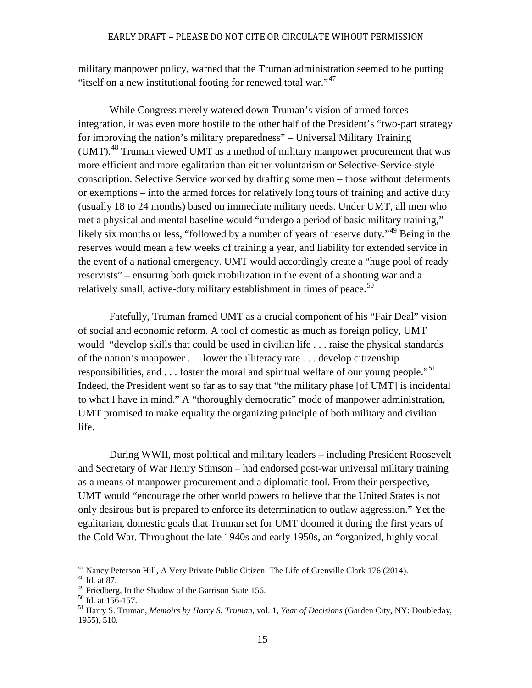military manpower policy, warned that the Truman administration seemed to be putting "itself on a new institutional footing for renewed total war."[47](#page-18-0)

While Congress merely watered down Truman's vision of armed forces integration, it was even more hostile to the other half of the President's "two-part strategy for improving the nation's military preparedness" – Universal Military Training (UMT).<sup>[48](#page-18-1)</sup> Truman viewed UMT as a method of military manpower procurement that was more efficient and more egalitarian than either voluntarism or Selective-Service-style conscription. Selective Service worked by drafting some men – those without deferments or exemptions – into the armed forces for relatively long tours of training and active duty (usually 18 to 24 months) based on immediate military needs. Under UMT, all men who met a physical and mental baseline would "undergo a period of basic military training," likely six months or less, "followed by a number of years of reserve duty."<sup>[49](#page-18-2)</sup> Being in the reserves would mean a few weeks of training a year, and liability for extended service in the event of a national emergency. UMT would accordingly create a "huge pool of ready reservists" – ensuring both quick mobilization in the event of a shooting war and a relatively small, active-duty military establishment in times of peace.<sup>[50](#page-18-3)</sup>

Fatefully, Truman framed UMT as a crucial component of his "Fair Deal" vision of social and economic reform. A tool of domestic as much as foreign policy, UMT would "develop skills that could be used in civilian life . . . raise the physical standards of the nation's manpower . . . lower the illiteracy rate . . . develop citizenship responsibilities, and  $\ldots$  foster the moral and spiritual welfare of our young people."<sup>[51](#page-18-4)</sup> Indeed, the President went so far as to say that "the military phase [of UMT] is incidental to what I have in mind." A "thoroughly democratic" mode of manpower administration, UMT promised to make equality the organizing principle of both military and civilian life.

During WWII, most political and military leaders – including President Roosevelt and Secretary of War Henry Stimson – had endorsed post-war universal military training as a means of manpower procurement and a diplomatic tool. From their perspective, UMT would "encourage the other world powers to believe that the United States is not only desirous but is prepared to enforce its determination to outlaw aggression." Yet the egalitarian, domestic goals that Truman set for UMT doomed it during the first years of the Cold War. Throughout the late 1940s and early 1950s, an "organized, highly vocal

<span id="page-18-1"></span><span id="page-18-0"></span><sup>&</sup>lt;sup>47</sup> Nancy Peterson Hill, A Very Private Public Citizen: The Life of Grenville Clark 176 (2014).<br><sup>48</sup> Id. at 87.<br><sup>49</sup> Friedberg, In the Shadow of the Garrison State 156.

<span id="page-18-4"></span><span id="page-18-3"></span><span id="page-18-2"></span><sup>&</sup>lt;sup>50</sup> Id. at 156-157.<br><sup>51</sup> Harry S. Truman, *Memoirs by Harry S. Truman*, vol. 1, *Year of Decisions* (Garden City, NY: Doubleday, 1955), 510.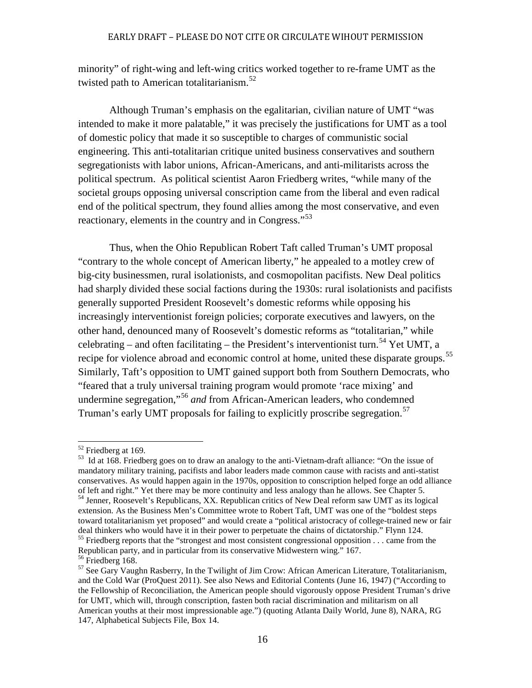minority" of right-wing and left-wing critics worked together to re-frame UMT as the twisted path to American totalitarianism.<sup>[52](#page-19-0)</sup>

Although Truman's emphasis on the egalitarian, civilian nature of UMT "was intended to make it more palatable," it was precisely the justifications for UMT as a tool of domestic policy that made it so susceptible to charges of communistic social engineering. This anti-totalitarian critique united business conservatives and southern segregationists with labor unions, African-Americans, and anti-militarists across the political spectrum. As political scientist Aaron Friedberg writes, "while many of the societal groups opposing universal conscription came from the liberal and even radical end of the political spectrum, they found allies among the most conservative, and even reactionary, elements in the country and in Congress."<sup>[53](#page-19-1)</sup>

Thus, when the Ohio Republican Robert Taft called Truman's UMT proposal "contrary to the whole concept of American liberty," he appealed to a motley crew of big-city businessmen, rural isolationists, and cosmopolitan pacifists. New Deal politics had sharply divided these social factions during the 1930s: rural isolationists and pacifists generally supported President Roosevelt's domestic reforms while opposing his increasingly interventionist foreign policies; corporate executives and lawyers, on the other hand, denounced many of Roosevelt's domestic reforms as "totalitarian," while celebrating – and often facilitating – the President's interventionist turn.<sup>[54](#page-19-2)</sup> Yet UMT, a recipe for violence abroad and economic control at home, united these disparate groups.<sup>[55](#page-19-3)</sup> Similarly, Taft's opposition to UMT gained support both from Southern Democrats, who "feared that a truly universal training program would promote 'race mixing' and undermine segregation,"[56](#page-19-4) *and* from African-American leaders, who condemned Truman's early UMT proposals for failing to explicitly proscribe segregation.<sup>[57](#page-19-5)</sup>

<span id="page-19-1"></span><span id="page-19-0"></span> $52$  Friedberg at 169.<br> $53$  Id at 168. Friedberg goes on to draw an analogy to the anti-Vietnam-draft alliance: "On the issue of mandatory military training, pacifists and labor leaders made common cause with racists and anti-statist conservatives. As would happen again in the 1970s, opposition to conscription helped forge an odd alliance of left and right." Yet there may be more continuity and less analogy than he allows. See Chapter 5. <sup>54</sup> Jenner, Roosevelt's Republicans, XX. Republican critics of New Deal reform saw UMT as its logical extension. As the Business Men's Committee wrote to Robert Taft, UMT was one of the "boldest steps toward totalitarianism yet proposed" and would create a "political aristocracy of college-trained new or fair<br>deal thinkers who would have it in their power to perpetuate the chains of dictatorship." Flynn 124.  $55$  Friedberg reports that the "strongest and most consistent congressional opposition  $\dots$  came from the

<span id="page-19-3"></span><span id="page-19-2"></span>Republican party, and in particular from its conservative Midwestern wing." 167.

<span id="page-19-5"></span><span id="page-19-4"></span> $57$  See Gary Vaughn Rasberry, In the Twilight of Jim Crow: African American Literature, Totalitarianism, and the Cold War (ProQuest 2011). See also News and Editorial Contents (June 16, 1947) ("According to the Fellowship of Reconciliation, the American people should vigorously oppose President Truman's drive for UMT, which will, through conscription, fasten both racial discrimination and militarism on all American youths at their most impressionable age.") (quoting Atlanta Daily World, June 8), NARA, RG 147, Alphabetical Subjects File, Box 14.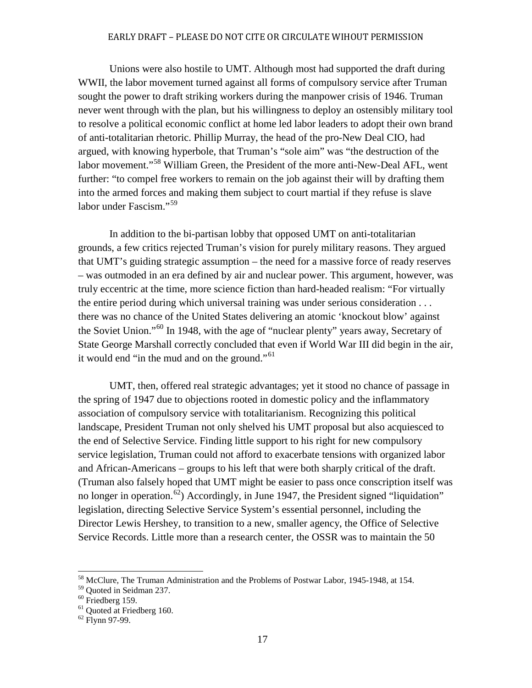Unions were also hostile to UMT. Although most had supported the draft during WWII, the labor movement turned against all forms of compulsory service after Truman sought the power to draft striking workers during the manpower crisis of 1946. Truman never went through with the plan, but his willingness to deploy an ostensibly military tool to resolve a political economic conflict at home led labor leaders to adopt their own brand of anti-totalitarian rhetoric. Phillip Murray, the head of the pro-New Deal CIO, had argued, with knowing hyperbole, that Truman's "sole aim" was "the destruction of the labor movement."<sup>[58](#page-20-0)</sup> William Green, the President of the more anti-New-Deal AFL, went further: "to compel free workers to remain on the job against their will by drafting them into the armed forces and making them subject to court martial if they refuse is slave labor under Fascism."<sup>[59](#page-20-1)</sup>

In addition to the bi-partisan lobby that opposed UMT on anti-totalitarian grounds, a few critics rejected Truman's vision for purely military reasons. They argued that UMT's guiding strategic assumption – the need for a massive force of ready reserves – was outmoded in an era defined by air and nuclear power. This argument, however, was truly eccentric at the time, more science fiction than hard-headed realism: "For virtually the entire period during which universal training was under serious consideration . . . there was no chance of the United States delivering an atomic 'knockout blow' against the Soviet Union."[60](#page-20-2) In 1948, with the age of "nuclear plenty" years away, Secretary of State George Marshall correctly concluded that even if World War III did begin in the air, it would end "in the mud and on the ground."<sup>[61](#page-20-3)</sup>

UMT, then, offered real strategic advantages; yet it stood no chance of passage in the spring of 1947 due to objections rooted in domestic policy and the inflammatory association of compulsory service with totalitarianism. Recognizing this political landscape, President Truman not only shelved his UMT proposal but also acquiesced to the end of Selective Service. Finding little support to his right for new compulsory service legislation, Truman could not afford to exacerbate tensions with organized labor and African-Americans – groups to his left that were both sharply critical of the draft. (Truman also falsely hoped that UMT might be easier to pass once conscription itself was no longer in operation.<sup>62</sup>) Accordingly, in June 1947, the President signed "liquidation" legislation, directing Selective Service System's essential personnel, including the Director Lewis Hershey, to transition to a new, smaller agency, the Office of Selective Service Records. Little more than a research center, the OSSR was to maintain the 50

<span id="page-20-0"></span><sup>58</sup> McClure, The Truman Administration and the Problems of Postwar Labor, 1945-1948, at 154.

<span id="page-20-3"></span>

<span id="page-20-2"></span><span id="page-20-1"></span><sup>&</sup>lt;sup>59</sup> Quoted in Seidman 237.<br>
<sup>60</sup> Friedberg 159.<br>
<sup>61</sup> Quoted at Friedberg 160.<br>
<sup>62</sup> Flynn 97-99.

<span id="page-20-4"></span>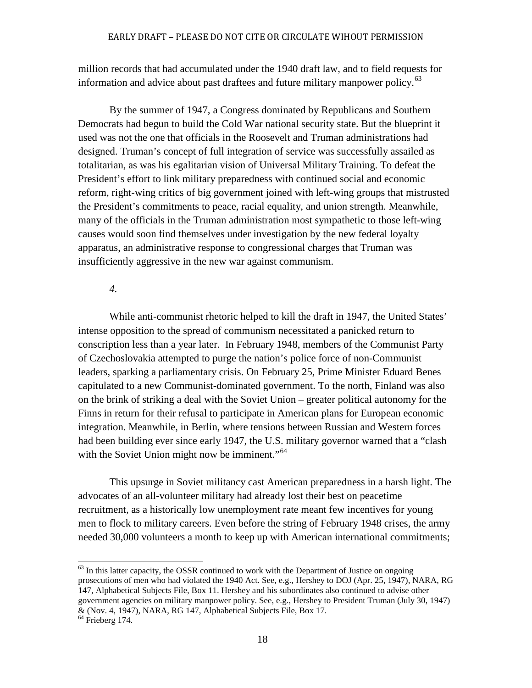million records that had accumulated under the 1940 draft law, and to field requests for information and advice about past draftees and future military manpower policy.<sup>[63](#page-21-0)</sup>

By the summer of 1947, a Congress dominated by Republicans and Southern Democrats had begun to build the Cold War national security state. But the blueprint it used was not the one that officials in the Roosevelt and Truman administrations had designed. Truman's concept of full integration of service was successfully assailed as totalitarian, as was his egalitarian vision of Universal Military Training. To defeat the President's effort to link military preparedness with continued social and economic reform, right-wing critics of big government joined with left-wing groups that mistrusted the President's commitments to peace, racial equality, and union strength. Meanwhile, many of the officials in the Truman administration most sympathetic to those left-wing causes would soon find themselves under investigation by the new federal loyalty apparatus, an administrative response to congressional charges that Truman was insufficiently aggressive in the new war against communism.

### *4.*

While anti-communist rhetoric helped to kill the draft in 1947, the United States' intense opposition to the spread of communism necessitated a panicked return to conscription less than a year later. In February 1948, members of the Communist Party of Czechoslovakia attempted to purge the nation's police force of non-Communist leaders, sparking a parliamentary crisis. On February 25, Prime Minister Eduard Benes capitulated to a new Communist-dominated government. To the north, Finland was also on the brink of striking a deal with the Soviet Union – greater political autonomy for the Finns in return for their refusal to participate in American plans for European economic integration. Meanwhile, in Berlin, where tensions between Russian and Western forces had been building ever since early 1947, the U.S. military governor warned that a "clash with the Soviet Union might now be imminent."<sup>[64](#page-21-1)</sup>

This upsurge in Soviet militancy cast American preparedness in a harsh light. The advocates of an all-volunteer military had already lost their best on peacetime recruitment, as a historically low unemployment rate meant few incentives for young men to flock to military careers. Even before the string of February 1948 crises, the army needed 30,000 volunteers a month to keep up with American international commitments;

<span id="page-21-0"></span> $63$  In this latter capacity, the OSSR continued to work with the Department of Justice on ongoing prosecutions of men who had violated the 1940 Act. See, e.g., Hershey to DOJ (Apr. 25, 1947), NARA, RG 147, Alphabetical Subjects File, Box 11. Hershey and his subordinates also continued to advise other government agencies on military manpower policy. See, e.g., Hershey to President Truman (July 30, 1947) & (Nov. 4, 1947), NARA, RG 147, Alphabetical Subjects File, Box 17.

<span id="page-21-1"></span> $<sup>64</sup>$  Frieberg 174.</sup>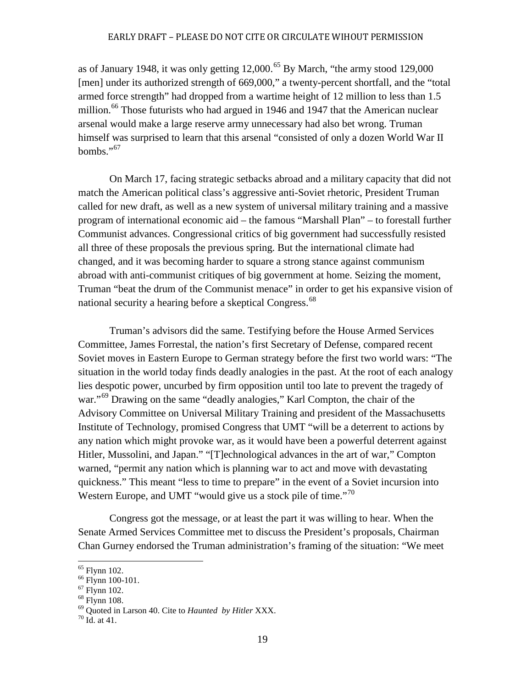as of January 1948, it was only getting  $12,000^{65}$  $12,000^{65}$  $12,000^{65}$  By March, "the army stood 129,000 [men] under its authorized strength of 669,000," a twenty-percent shortfall, and the "total armed force strength" had dropped from a wartime height of 12 million to less than 1.5 million.<sup>[66](#page-22-1)</sup> Those futurists who had argued in 1946 and 1947 that the American nuclear arsenal would make a large reserve army unnecessary had also bet wrong. Truman himself was surprised to learn that this arsenal "consisted of only a dozen World War II bombs." $\frac{0.67}{0.67}$  $\frac{0.67}{0.67}$  $\frac{0.67}{0.67}$ 

On March 17, facing strategic setbacks abroad and a military capacity that did not match the American political class's aggressive anti-Soviet rhetoric, President Truman called for new draft, as well as a new system of universal military training and a massive program of international economic aid – the famous "Marshall Plan" – to forestall further Communist advances. Congressional critics of big government had successfully resisted all three of these proposals the previous spring. But the international climate had changed, and it was becoming harder to square a strong stance against communism abroad with anti-communist critiques of big government at home. Seizing the moment, Truman "beat the drum of the Communist menace" in order to get his expansive vision of national security a hearing before a skeptical Congress.<sup>[68](#page-22-3)</sup>

Truman's advisors did the same. Testifying before the House Armed Services Committee, James Forrestal, the nation's first Secretary of Defense, compared recent Soviet moves in Eastern Europe to German strategy before the first two world wars: "The situation in the world today finds deadly analogies in the past. At the root of each analogy lies despotic power, uncurbed by firm opposition until too late to prevent the tragedy of war."<sup>[69](#page-22-4)</sup> Drawing on the same "deadly analogies," Karl Compton, the chair of the Advisory Committee on Universal Military Training and president of the Massachusetts Institute of Technology, promised Congress that UMT "will be a deterrent to actions by any nation which might provoke war, as it would have been a powerful deterrent against Hitler, Mussolini, and Japan." "[T]echnological advances in the art of war," Compton warned, "permit any nation which is planning war to act and move with devastating quickness." This meant "less to time to prepare" in the event of a Soviet incursion into Western Europe, and UMT "would give us a stock pile of time."<sup>[70](#page-22-5)</sup>

Congress got the message, or at least the part it was willing to hear. When the Senate Armed Services Committee met to discuss the President's proposals, Chairman Chan Gurney endorsed the Truman administration's framing of the situation: "We meet

<span id="page-22-2"></span><span id="page-22-1"></span>

<span id="page-22-4"></span><span id="page-22-3"></span>

<span id="page-22-0"></span><sup>&</sup>lt;sup>65</sup> Flynn 102.<br><sup>66</sup> Flynn 100-101.<br><sup>67</sup> Flynn 102.<br><sup>68</sup> Flynn 108.<br><sup>69</sup> Quoted in Larson 40. Cite to *Haunted by Hitler* XXX.<br><sup>70</sup> Id. at 41.

<span id="page-22-5"></span>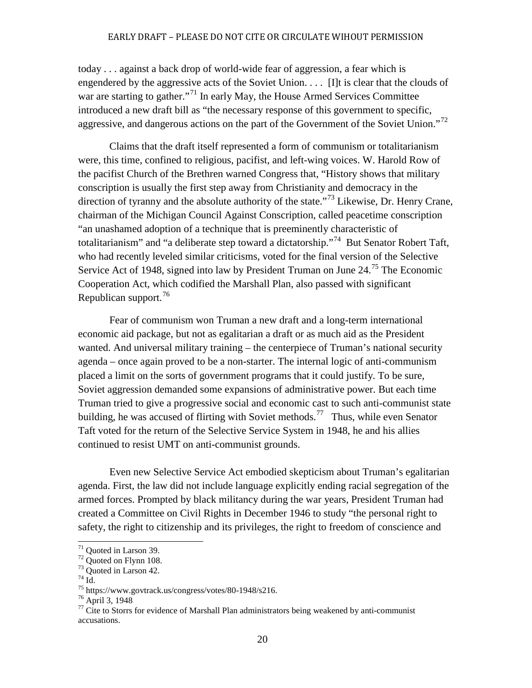today . . . against a back drop of world-wide fear of aggression, a fear which is engendered by the aggressive acts of the Soviet Union.  $\ldots$  [I]t is clear that the clouds of war are starting to gather."<sup>[71](#page-23-0)</sup> In early May, the House Armed Services Committee introduced a new draft bill as "the necessary response of this government to specific, aggressive, and dangerous actions on the part of the Government of the Soviet Union."<sup>[72](#page-23-1)</sup>

Claims that the draft itself represented a form of communism or totalitarianism were, this time, confined to religious, pacifist, and left-wing voices. W. Harold Row of the pacifist Church of the Brethren warned Congress that, "History shows that military conscription is usually the first step away from Christianity and democracy in the direction of tyranny and the absolute authority of the state.<sup>"[73](#page-23-2)</sup> Likewise, Dr. Henry Crane, chairman of the Michigan Council Against Conscription, called peacetime conscription "an unashamed adoption of a technique that is preeminently characteristic of totalitarianism" and "a deliberate step toward a dictatorship."[74](#page-23-3)But Senator Robert Taft, who had recently leveled similar criticisms, voted for the final version of the Selective Service Act of 1948, signed into law by President Truman on June 24.<sup>[75](#page-23-4)</sup> The Economic Cooperation Act, which codified the Marshall Plan, also passed with significant Republican support.<sup>[76](#page-23-5)</sup>

Fear of communism won Truman a new draft and a long-term international economic aid package, but not as egalitarian a draft or as much aid as the President wanted. And universal military training – the centerpiece of Truman's national security agenda – once again proved to be a non-starter. The internal logic of anti-communism placed a limit on the sorts of government programs that it could justify. To be sure, Soviet aggression demanded some expansions of administrative power. But each time Truman tried to give a progressive social and economic cast to such anti-communist state building, he was accused of flirting with Soviet methods.<sup>77</sup> Thus, while even Senator Taft voted for the return of the Selective Service System in 1948, he and his allies continued to resist UMT on anti-communist grounds.

Even new Selective Service Act embodied skepticism about Truman's egalitarian agenda. First, the law did not include language explicitly ending racial segregation of the armed forces. Prompted by black militancy during the war years, President Truman had created a Committee on Civil Rights in December 1946 to study "the personal right to safety, the right to citizenship and its privileges, the right to freedom of conscience and

<span id="page-23-1"></span>

<span id="page-23-2"></span>

<span id="page-23-3"></span>

<span id="page-23-5"></span><span id="page-23-4"></span>

<span id="page-23-6"></span>

<span id="page-23-0"></span><sup>&</sup>lt;sup>71</sup> Quoted in Larson 39.<br>
<sup>72</sup> Quoted on Flynn 108.<br>
<sup>73</sup> Quoted in Larson 42.<br>
<sup>74</sup> Id.<br>
<sup>75</sup> https://www.govtrack.us/congress/votes/80-1948/s216.<br>
<sup>76</sup> April 3, 1948<br>
<sup>77</sup> Cite to Storrs for evidence of Marshall Plan a accusations.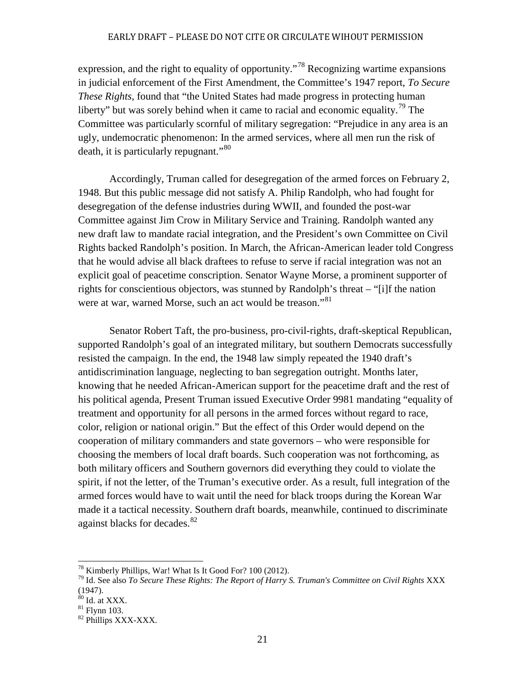expression, and the right to equality of opportunity."<sup>[78](#page-24-0)</sup> Recognizing wartime expansions in judicial enforcement of the First Amendment, the Committee's 1947 report, *To Secure These Rights*, found that "the United States had made progress in protecting human liberty" but was sorely behind when it came to racial and economic equality.<sup>[79](#page-24-1)</sup> The Committee was particularly scornful of military segregation: "Prejudice in any area is an ugly, undemocratic phenomenon: In the armed services, where all men run the risk of death, it is particularly repugnant."<sup>[80](#page-24-2)</sup>

Accordingly, Truman called for desegregation of the armed forces on February 2, 1948. But this public message did not satisfy A. Philip Randolph, who had fought for desegregation of the defense industries during WWII, and founded the post-war Committee against Jim Crow in Military Service and Training. Randolph wanted any new draft law to mandate racial integration, and the President's own Committee on Civil Rights backed Randolph's position. In March, the African-American leader told Congress that he would advise all black draftees to refuse to serve if racial integration was not an explicit goal of peacetime conscription. Senator Wayne Morse, a prominent supporter of rights for conscientious objectors, was stunned by Randolph's threat – "[i]f the nation were at war, warned Morse, such an act would be treason."<sup>[81](#page-24-3)</sup>

Senator Robert Taft, the pro-business, pro-civil-rights, draft-skeptical Republican, supported Randolph's goal of an integrated military, but southern Democrats successfully resisted the campaign. In the end, the 1948 law simply repeated the 1940 draft's antidiscrimination language, neglecting to ban segregation outright. Months later, knowing that he needed African-American support for the peacetime draft and the rest of his political agenda, Present Truman issued Executive Order 9981 mandating "equality of treatment and opportunity for all persons in the armed forces without regard to race, color, religion or national origin." But the effect of this Order would depend on the cooperation of military commanders and state governors – who were responsible for choosing the members of local draft boards. Such cooperation was not forthcoming, as both military officers and Southern governors did everything they could to violate the spirit, if not the letter, of the Truman's executive order. As a result, full integration of the armed forces would have to wait until the need for black troops during the Korean War made it a tactical necessity. Southern draft boards, meanwhile, continued to discriminate against blacks for decades.<sup>[82](#page-24-4)</sup>

<span id="page-24-1"></span><span id="page-24-0"></span><sup>&</sup>lt;sup>78</sup> Kimberly Phillips, War! What Is It Good For? 100 (2012).<br><sup>79</sup> Id. See also *To Secure These Rights: The Report of Harry S. Truman's Committee on Civil Rights XXX*  $(1947)$ .<br><sup>80</sup> Id. at XXX.

<span id="page-24-4"></span><span id="page-24-3"></span><span id="page-24-2"></span> $\frac{81}{82}$  Flynn 103.<br> $\frac{82}{82}$  Phillips XXX-XXX.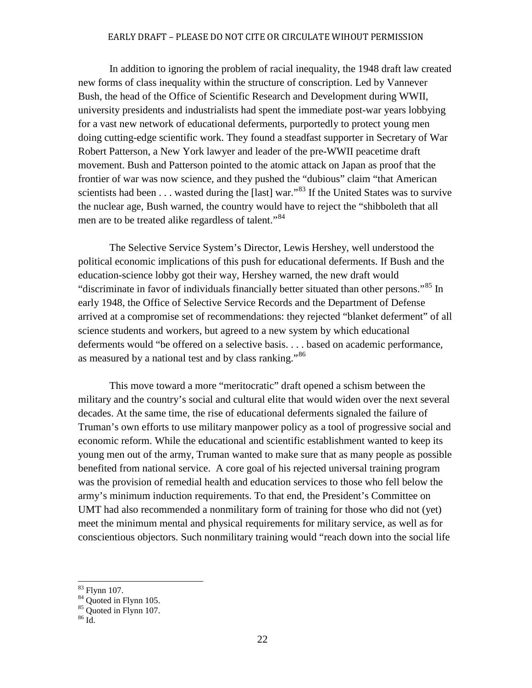In addition to ignoring the problem of racial inequality, the 1948 draft law created new forms of class inequality within the structure of conscription. Led by Vannever Bush, the head of the Office of Scientific Research and Development during WWII, university presidents and industrialists had spent the immediate post-war years lobbying for a vast new network of educational deferments, purportedly to protect young men doing cutting-edge scientific work. They found a steadfast supporter in Secretary of War Robert Patterson, a New York lawyer and leader of the pre-WWII peacetime draft movement. Bush and Patterson pointed to the atomic attack on Japan as proof that the frontier of war was now science, and they pushed the "dubious" claim "that American scientists had been  $\dots$  wasted during the [last] war."<sup>[83](#page-25-0)</sup> If the United States was to survive the nuclear age, Bush warned, the country would have to reject the "shibboleth that all men are to be treated alike regardless of talent."<sup>[84](#page-25-1)</sup>

The Selective Service System's Director, Lewis Hershey, well understood the political economic implications of this push for educational deferments. If Bush and the education-science lobby got their way, Hershey warned, the new draft would "discriminate in favor of individuals financially better situated than other persons."<sup>[85](#page-25-2)</sup> In early 1948, the Office of Selective Service Records and the Department of Defense arrived at a compromise set of recommendations: they rejected "blanket deferment" of all science students and workers, but agreed to a new system by which educational deferments would "be offered on a selective basis. . . . based on academic performance, as measured by a national test and by class ranking."<sup>[86](#page-25-3)</sup>

This move toward a more "meritocratic" draft opened a schism between the military and the country's social and cultural elite that would widen over the next several decades. At the same time, the rise of educational deferments signaled the failure of Truman's own efforts to use military manpower policy as a tool of progressive social and economic reform. While the educational and scientific establishment wanted to keep its young men out of the army, Truman wanted to make sure that as many people as possible benefited from national service. A core goal of his rejected universal training program was the provision of remedial health and education services to those who fell below the army's minimum induction requirements. To that end, the President's Committee on UMT had also recommended a nonmilitary form of training for those who did not (yet) meet the minimum mental and physical requirements for military service, as well as for conscientious objectors. Such nonmilitary training would "reach down into the social life

<span id="page-25-2"></span>

<span id="page-25-1"></span><span id="page-25-0"></span><sup>&</sup>lt;sup>83</sup> Flynn 107.<br><sup>84</sup> Quoted in Flynn 105.<br><sup>85</sup> Quoted in Flynn 107.<br><sup>86</sup> Id.

<span id="page-25-3"></span>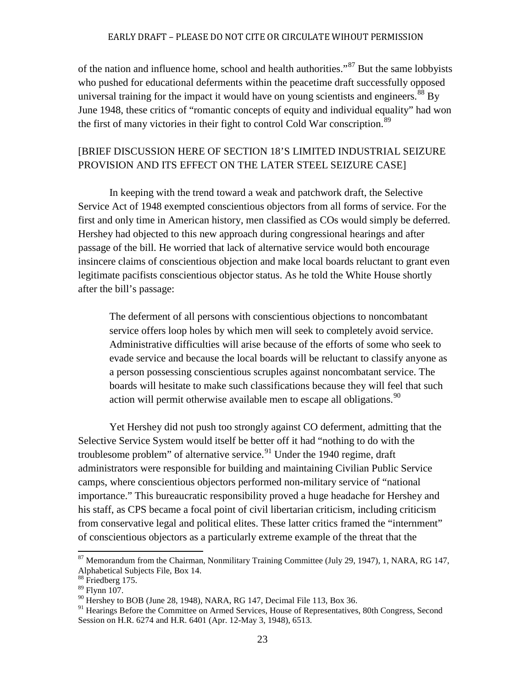of the nation and influence home, school and health authorities."<sup>[87](#page-26-0)</sup> But the same lobbyists who pushed for educational deferments within the peacetime draft successfully opposed universal training for the impact it would have on young scientists and engineers.<sup>[88](#page-26-1)</sup> By June 1948, these critics of "romantic concepts of equity and individual equality" had won the first of many victories in their fight to control Cold War conscription.<sup>[89](#page-26-2)</sup>

# [BRIEF DISCUSSION HERE OF SECTION 18'S LIMITED INDUSTRIAL SEIZURE PROVISION AND ITS EFFECT ON THE LATER STEEL SEIZURE CASE]

In keeping with the trend toward a weak and patchwork draft, the Selective Service Act of 1948 exempted conscientious objectors from all forms of service. For the first and only time in American history, men classified as COs would simply be deferred. Hershey had objected to this new approach during congressional hearings and after passage of the bill. He worried that lack of alternative service would both encourage insincere claims of conscientious objection and make local boards reluctant to grant even legitimate pacifists conscientious objector status. As he told the White House shortly after the bill's passage:

The deferment of all persons with conscientious objections to noncombatant service offers loop holes by which men will seek to completely avoid service. Administrative difficulties will arise because of the efforts of some who seek to evade service and because the local boards will be reluctant to classify anyone as a person possessing conscientious scruples against noncombatant service. The boards will hesitate to make such classifications because they will feel that such action will permit otherwise available men to escape all obligations.  $90$ 

Yet Hershey did not push too strongly against CO deferment, admitting that the Selective Service System would itself be better off it had "nothing to do with the troublesome problem" of alternative service. $91$  Under the 1940 regime, draft administrators were responsible for building and maintaining Civilian Public Service camps, where conscientious objectors performed non-military service of "national importance." This bureaucratic responsibility proved a huge headache for Hershey and his staff, as CPS became a focal point of civil libertarian criticism, including criticism from conservative legal and political elites. These latter critics framed the "internment" of conscientious objectors as a particularly extreme example of the threat that the

<span id="page-26-0"></span><sup>&</sup>lt;sup>87</sup> Memorandum from the Chairman, Nonmilitary Training Committee (July 29, 1947), 1, NARA, RG 147, Alphabetical Subjects File, Box 14.

<span id="page-26-1"></span><sup>&</sup>lt;sup>88</sup> Friedberg 175.

<span id="page-26-2"></span><sup>89</sup> Flynn 107.

<span id="page-26-3"></span> $90$  Hershey to BOB (June 28, 1948), NARA, RG 147, Decimal File 113, Box 36.

<span id="page-26-4"></span><sup>&</sup>lt;sup>91</sup> Hearings Before the Committee on Armed Services, House of Representatives, 80th Congress, Second Session on H.R. 6274 and H.R. 6401 (Apr. 12-May 3, 1948), 6513.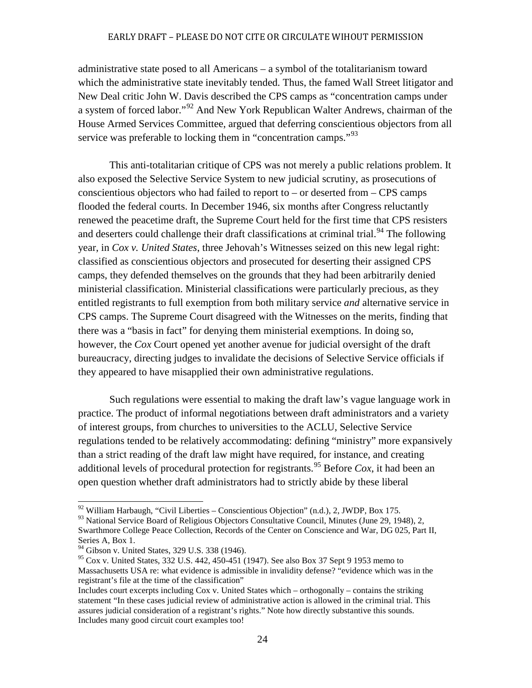administrative state posed to all Americans – a symbol of the totalitarianism toward which the administrative state inevitably tended. Thus, the famed Wall Street litigator and New Deal critic John W. Davis described the CPS camps as "concentration camps under a system of forced labor."<sup>[92](#page-27-0)</sup> And New York Republican Walter Andrews, chairman of the House Armed Services Committee, argued that deferring conscientious objectors from all service was preferable to locking them in "concentration camps."<sup>[93](#page-27-1)</sup>

This anti-totalitarian critique of CPS was not merely a public relations problem. It also exposed the Selective Service System to new judicial scrutiny, as prosecutions of conscientious objectors who had failed to report to  $-$  or deserted from  $-$  CPS camps flooded the federal courts. In December 1946, six months after Congress reluctantly renewed the peacetime draft, the Supreme Court held for the first time that CPS resisters and deserters could challenge their draft classifications at criminal trial.<sup>[94](#page-27-2)</sup> The following year, in *Cox v. United States*, three Jehovah's Witnesses seized on this new legal right: classified as conscientious objectors and prosecuted for deserting their assigned CPS camps, they defended themselves on the grounds that they had been arbitrarily denied ministerial classification. Ministerial classifications were particularly precious, as they entitled registrants to full exemption from both military service *and* alternative service in CPS camps. The Supreme Court disagreed with the Witnesses on the merits, finding that there was a "basis in fact" for denying them ministerial exemptions. In doing so, however, the *Cox* Court opened yet another avenue for judicial oversight of the draft bureaucracy, directing judges to invalidate the decisions of Selective Service officials if they appeared to have misapplied their own administrative regulations.

Such regulations were essential to making the draft law's vague language work in practice. The product of informal negotiations between draft administrators and a variety of interest groups, from churches to universities to the ACLU, Selective Service regulations tended to be relatively accommodating: defining "ministry" more expansively than a strict reading of the draft law might have required, for instance, and creating additional levels of procedural protection for registrants.<sup>[95](#page-27-3)</sup> Before  $Cox$ , it had been an open question whether draft administrators had to strictly abide by these liberal

 $92$  William Harbaugh, "Civil Liberties – Conscientious Objection" (n.d.), 2, JWDP, Box 175.

<span id="page-27-1"></span><span id="page-27-0"></span><sup>&</sup>lt;sup>93</sup> National Service Board of Religious Objectors Consultative Council, Minutes (June 29, 1948), 2, Swarthmore College Peace Collection, Records of the Center on Conscience and War, DG 025, Part II, Series A, Box 1.

<span id="page-27-2"></span> $94$  Gibson v. United States, 329 U.S. 338 (1946).

<span id="page-27-3"></span><sup>&</sup>lt;sup>95</sup> Cox v. United States, 332 U.S. 442, 450-451 (1947). See also Box 37 Sept 9 1953 memo to Massachusetts USA re: what evidence is admissible in invalidity defense? "evidence which was in the registrant's file at the time of the classification"

Includes court excerpts including Cox v. United States which – orthogonally – contains the striking statement "In these cases judicial review of administrative action is allowed in the criminal trial. This assures judicial consideration of a registrant's rights." Note how directly substantive this sounds. Includes many good circuit court examples too!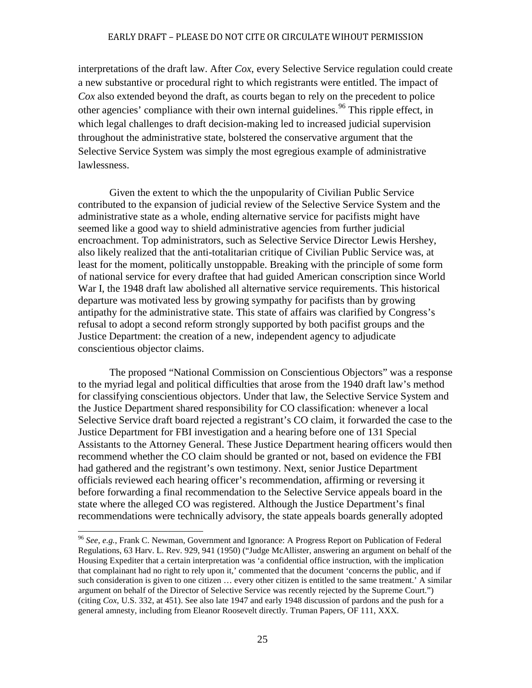interpretations of the draft law. After *Cox*, every Selective Service regulation could create a new substantive or procedural right to which registrants were entitled. The impact of *Cox* also extended beyond the draft, as courts began to rely on the precedent to police other agencies' compliance with their own internal guidelines.<sup>[96](#page-28-0)</sup> This ripple effect, in which legal challenges to draft decision-making led to increased judicial supervision throughout the administrative state, bolstered the conservative argument that the Selective Service System was simply the most egregious example of administrative lawlessness.

Given the extent to which the the unpopularity of Civilian Public Service contributed to the expansion of judicial review of the Selective Service System and the administrative state as a whole, ending alternative service for pacifists might have seemed like a good way to shield administrative agencies from further judicial encroachment. Top administrators, such as Selective Service Director Lewis Hershey, also likely realized that the anti-totalitarian critique of Civilian Public Service was, at least for the moment, politically unstoppable. Breaking with the principle of some form of national service for every draftee that had guided American conscription since World War I, the 1948 draft law abolished all alternative service requirements. This historical departure was motivated less by growing sympathy for pacifists than by growing antipathy for the administrative state. This state of affairs was clarified by Congress's refusal to adopt a second reform strongly supported by both pacifist groups and the Justice Department: the creation of a new, independent agency to adjudicate conscientious objector claims.

The proposed "National Commission on Conscientious Objectors" was a response to the myriad legal and political difficulties that arose from the 1940 draft law's method for classifying conscientious objectors. Under that law, the Selective Service System and the Justice Department shared responsibility for CO classification: whenever a local Selective Service draft board rejected a registrant's CO claim, it forwarded the case to the Justice Department for FBI investigation and a hearing before one of 131 Special Assistants to the Attorney General. These Justice Department hearing officers would then recommend whether the CO claim should be granted or not, based on evidence the FBI had gathered and the registrant's own testimony. Next, senior Justice Department officials reviewed each hearing officer's recommendation, affirming or reversing it before forwarding a final recommendation to the Selective Service appeals board in the state where the alleged CO was registered. Although the Justice Department's final recommendations were technically advisory, the state appeals boards generally adopted

<span id="page-28-0"></span><sup>96</sup> *See, e.g.*, Frank C. Newman, Government and Ignorance: A Progress Report on Publication of Federal Regulations, 63 Harv. L. Rev. 929, 941 (1950) ("Judge McAllister, answering an argument on behalf of the Housing Expediter that a certain interpretation was 'a confidential office instruction, with the implication that complainant had no right to rely upon it,' commented that the document 'concerns the public, and if such consideration is given to one citizen … every other citizen is entitled to the same treatment.' A similar argument on behalf of the Director of Selective Service was recently rejected by the Supreme Court.") (citing *Cox*, U.S. 332, at 451). See also late 1947 and early 1948 discussion of pardons and the push for a general amnesty, including from Eleanor Roosevelt directly. Truman Papers, OF 111, XXX.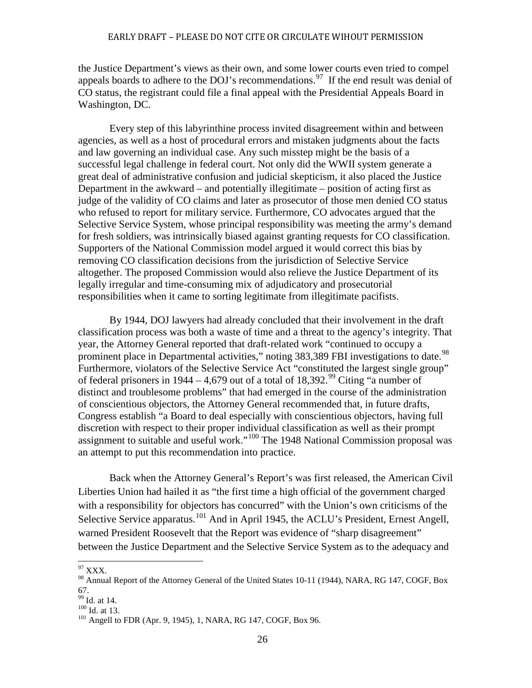the Justice Department's views as their own, and some lower courts even tried to compel appeals boards to adhere to the DOJ's recommendations.<sup>[97](#page-29-0)</sup> If the end result was denial of CO status, the registrant could file a final appeal with the Presidential Appeals Board in Washington, DC.

Every step of this labyrinthine process invited disagreement within and between agencies, as well as a host of procedural errors and mistaken judgments about the facts and law governing an individual case. Any such misstep might be the basis of a successful legal challenge in federal court. Not only did the WWII system generate a great deal of administrative confusion and judicial skepticism, it also placed the Justice Department in the awkward – and potentially illegitimate – position of acting first as judge of the validity of CO claims and later as prosecutor of those men denied CO status who refused to report for military service. Furthermore, CO advocates argued that the Selective Service System, whose principal responsibility was meeting the army's demand for fresh soldiers, was intrinsically biased against granting requests for CO classification. Supporters of the National Commission model argued it would correct this bias by removing CO classification decisions from the jurisdiction of Selective Service altogether. The proposed Commission would also relieve the Justice Department of its legally irregular and time-consuming mix of adjudicatory and prosecutorial responsibilities when it came to sorting legitimate from illegitimate pacifists.

By 1944, DOJ lawyers had already concluded that their involvement in the draft classification process was both a waste of time and a threat to the agency's integrity. That year, the Attorney General reported that draft-related work "continued to occupy a prominent place in Departmental activities," noting 383,389 FBI investigations to date.<sup>[98](#page-29-1)</sup> Furthermore, violators of the Selective Service Act "constituted the largest single group" of federal prisoners in 1944 – 4,679 out of a total of 18,392.<sup>[99](#page-29-2)</sup> Citing "a number of distinct and troublesome problems" that had emerged in the course of the administration of conscientious objectors, the Attorney General recommended that, in future drafts, Congress establish "a Board to deal especially with conscientious objectors, having full discretion with respect to their proper individual classification as well as their prompt assignment to suitable and useful work."[100](#page-29-3) The 1948 National Commission proposal was an attempt to put this recommendation into practice.

Back when the Attorney General's Report's was first released, the American Civil Liberties Union had hailed it as "the first time a high official of the government charged with a responsibility for objectors has concurred" with the Union's own criticisms of the Selective Service apparatus.<sup>[101](#page-29-4)</sup> And in April 1945, the ACLU's President, Ernest Angell, warned President Roosevelt that the Report was evidence of "sharp disagreement" between the Justice Department and the Selective Service System as to the adequacy and

<span id="page-29-1"></span><span id="page-29-0"></span> $^{97}$  XXX.<br><sup>98</sup> Annual Report of the Attorney General of the United States 10-11 (1944), NARA, RG 147, COGF, Box 67.<br> $^{99}$  Id. at 14.

<span id="page-29-4"></span><span id="page-29-3"></span><span id="page-29-2"></span> $\frac{100}{101}$  Id. at 13.<br><sup>101</sup> Angell to FDR (Apr. 9, 1945), 1, NARA, RG 147, COGF, Box 96.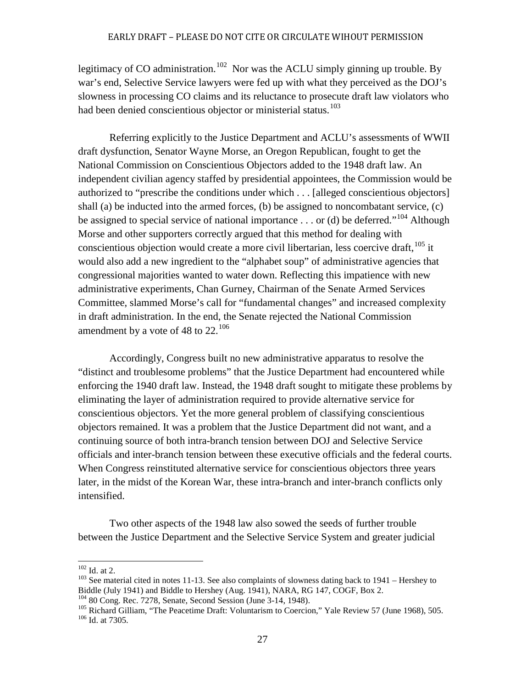legitimacy of CO administration.<sup>[102](#page-30-0)</sup> Nor was the ACLU simply ginning up trouble. By war's end, Selective Service lawyers were fed up with what they perceived as the DOJ's slowness in processing CO claims and its reluctance to prosecute draft law violators who had been denied conscientious objector or ministerial status.<sup>[103](#page-30-1)</sup>

Referring explicitly to the Justice Department and ACLU's assessments of WWII draft dysfunction, Senator Wayne Morse, an Oregon Republican, fought to get the National Commission on Conscientious Objectors added to the 1948 draft law. An independent civilian agency staffed by presidential appointees, the Commission would be authorized to "prescribe the conditions under which . . . [alleged conscientious objectors] shall (a) be inducted into the armed forces, (b) be assigned to noncombatant service, (c) be assigned to special service of national importance  $\dots$  or (d) be deferred."<sup>[104](#page-30-2)</sup> Although Morse and other supporters correctly argued that this method for dealing with conscientious objection would create a more civil libertarian, less coercive draft,  $105$  it would also add a new ingredient to the "alphabet soup" of administrative agencies that congressional majorities wanted to water down. Reflecting this impatience with new administrative experiments, Chan Gurney, Chairman of the Senate Armed Services Committee, slammed Morse's call for "fundamental changes" and increased complexity in draft administration. In the end, the Senate rejected the National Commission amendment by a vote of 48 to 22.<sup>[106](#page-30-4)</sup>

Accordingly, Congress built no new administrative apparatus to resolve the "distinct and troublesome problems" that the Justice Department had encountered while enforcing the 1940 draft law. Instead, the 1948 draft sought to mitigate these problems by eliminating the layer of administration required to provide alternative service for conscientious objectors. Yet the more general problem of classifying conscientious objectors remained. It was a problem that the Justice Department did not want, and a continuing source of both intra-branch tension between DOJ and Selective Service officials and inter-branch tension between these executive officials and the federal courts. When Congress reinstituted alternative service for conscientious objectors three years later, in the midst of the Korean War, these intra-branch and inter-branch conflicts only intensified.

Two other aspects of the 1948 law also sowed the seeds of further trouble between the Justice Department and the Selective Service System and greater judicial

<span id="page-30-1"></span><span id="page-30-0"></span><sup>&</sup>lt;sup>102</sup> Id. at 2.<br><sup>103</sup> See material cited in notes 11-13. See also complaints of slowness dating back to 1941 – Hershey to Biddle (July 1941) and Biddle to Hershey (Aug. 1941), NARA, RG 147, COGF, Box 2.

<span id="page-30-4"></span><span id="page-30-3"></span><span id="page-30-2"></span><sup>&</sup>lt;sup>104</sup> 80 Cong. Rec. 7278, Senate, Second Session (June 3-14, 1948).<br><sup>105</sup> Richard Gilliam, "The Peacetime Draft: Voluntarism to Coercion," Yale Review 57 (June 1968), 505.<br><sup>106</sup> Id. at 7305.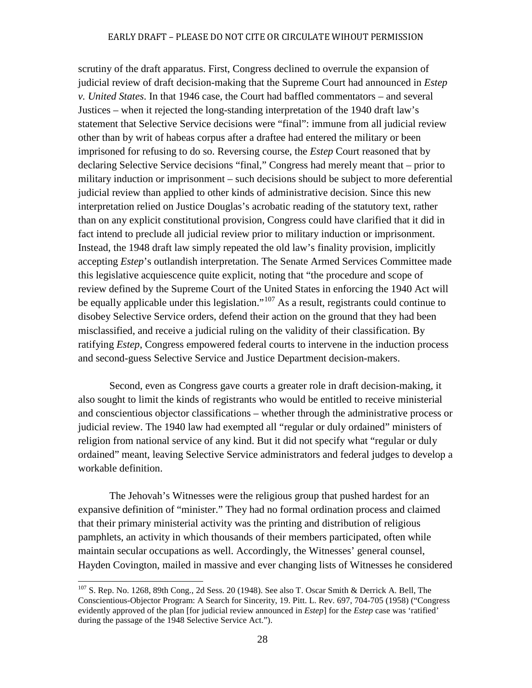scrutiny of the draft apparatus. First, Congress declined to overrule the expansion of judicial review of draft decision-making that the Supreme Court had announced in *Estep v. United States*. In that 1946 case, the Court had baffled commentators – and several Justices – when it rejected the long-standing interpretation of the 1940 draft law's statement that Selective Service decisions were "final": immune from all judicial review other than by writ of habeas corpus after a draftee had entered the military or been imprisoned for refusing to do so. Reversing course, the *Estep* Court reasoned that by declaring Selective Service decisions "final," Congress had merely meant that – prior to military induction or imprisonment – such decisions should be subject to more deferential judicial review than applied to other kinds of administrative decision. Since this new interpretation relied on Justice Douglas's acrobatic reading of the statutory text, rather than on any explicit constitutional provision, Congress could have clarified that it did in fact intend to preclude all judicial review prior to military induction or imprisonment. Instead, the 1948 draft law simply repeated the old law's finality provision, implicitly accepting *Estep*'s outlandish interpretation. The Senate Armed Services Committee made this legislative acquiescence quite explicit, noting that "the procedure and scope of review defined by the Supreme Court of the United States in enforcing the 1940 Act will be equally applicable under this legislation."<sup>[107](#page-31-0)</sup> As a result, registrants could continue to disobey Selective Service orders, defend their action on the ground that they had been misclassified, and receive a judicial ruling on the validity of their classification. By ratifying *Estep*, Congress empowered federal courts to intervene in the induction process and second-guess Selective Service and Justice Department decision-makers.

Second, even as Congress gave courts a greater role in draft decision-making, it also sought to limit the kinds of registrants who would be entitled to receive ministerial and conscientious objector classifications – whether through the administrative process or judicial review. The 1940 law had exempted all "regular or duly ordained" ministers of religion from national service of any kind. But it did not specify what "regular or duly ordained" meant, leaving Selective Service administrators and federal judges to develop a workable definition.

The Jehovah's Witnesses were the religious group that pushed hardest for an expansive definition of "minister." They had no formal ordination process and claimed that their primary ministerial activity was the printing and distribution of religious pamphlets, an activity in which thousands of their members participated, often while maintain secular occupations as well. Accordingly, the Witnesses' general counsel, Hayden Covington, mailed in massive and ever changing lists of Witnesses he considered

<span id="page-31-0"></span> $107$  S. Rep. No. 1268, 89th Cong., 2d Sess. 20 (1948). See also T. Oscar Smith & Derrick A. Bell, The Conscientious-Objector Program: A Search for Sincerity, 19. Pitt. L. Rev. 697, 704-705 (1958) ("Congress evidently approved of the plan [for judicial review announced in *Estep*] for the *Estep* case was 'ratified' during the passage of the 1948 Selective Service Act.").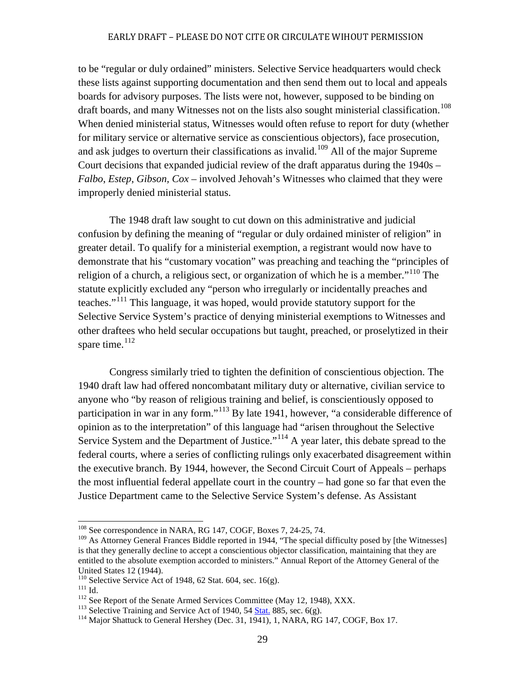to be "regular or duly ordained" ministers. Selective Service headquarters would check these lists against supporting documentation and then send them out to local and appeals boards for advisory purposes. The lists were not, however, supposed to be binding on draft boards, and many Witnesses not on the lists also sought ministerial classification.<sup>[108](#page-32-0)</sup> When denied ministerial status, Witnesses would often refuse to report for duty (whether for military service or alternative service as conscientious objectors), face prosecution, and ask judges to overturn their classifications as invalid.<sup>[109](#page-32-1)</sup> All of the major Supreme Court decisions that expanded judicial review of the draft apparatus during the 1940s – *Falbo*, *Estep*, *Gibson, Cox* – involved Jehovah's Witnesses who claimed that they were improperly denied ministerial status.

The 1948 draft law sought to cut down on this administrative and judicial confusion by defining the meaning of "regular or duly ordained minister of religion" in greater detail. To qualify for a ministerial exemption, a registrant would now have to demonstrate that his "customary vocation" was preaching and teaching the "principles of religion of a church, a religious sect, or organization of which he is a member.<sup> $110$ </sup> The statute explicitly excluded any "person who irregularly or incidentally preaches and teaches."[111](#page-32-3) This language, it was hoped, would provide statutory support for the Selective Service System's practice of denying ministerial exemptions to Witnesses and other draftees who held secular occupations but taught, preached, or proselytized in their spare time. $112$ 

Congress similarly tried to tighten the definition of conscientious objection. The 1940 draft law had offered noncombatant military duty or alternative, civilian service to anyone who "by reason of religious training and belief, is conscientiously opposed to participation in war in any form."[113](#page-32-5) By late 1941, however, "a considerable difference of opinion as to the interpretation" of this language had "arisen throughout the Selective Service System and the Department of Justice."<sup>[114](#page-32-6)</sup> A year later, this debate spread to the federal courts, where a series of conflicting rulings only exacerbated disagreement within the executive branch. By 1944, however, the Second Circuit Court of Appeals – perhaps the most influential federal appellate court in the country – had gone so far that even the Justice Department came to the Selective Service System's defense. As Assistant

<span id="page-32-0"></span><sup>&</sup>lt;sup>108</sup> See correspondence in NARA, RG 147, COGF, Boxes 7, 24-25, 74.

<span id="page-32-1"></span><sup>&</sup>lt;sup>109</sup> As Attorney General Frances Biddle reported in 1944, "The special difficulty posed by [the Witnesses] is that they generally decline to accept a conscientious objector classification, maintaining that they are entitled to the absolute exemption accorded to ministers." Annual Report of the Attorney General of the United States 12 (1944).<br><sup>110</sup> Selective Service Act of 1948, 62 Stat. 604, sec. 16(g).

<span id="page-32-6"></span><span id="page-32-5"></span>

<span id="page-32-4"></span><span id="page-32-3"></span><span id="page-32-2"></span><sup>&</sup>lt;sup>112</sup> Id.<br>
<sup>112</sup> See Report of the Senate Armed Services Committee (May 12, 1948), XXX.<br>
<sup>113</sup> Selective Training and Service Act of 1940, 54 <u>[Stat.](http://en.wikipedia.org/wiki/United_States_Statutes_at_Large)</u> 885, sec. 6(g).<br>
<sup>114</sup> Major Shattuck to General Hershey (Dec. 31, 1941)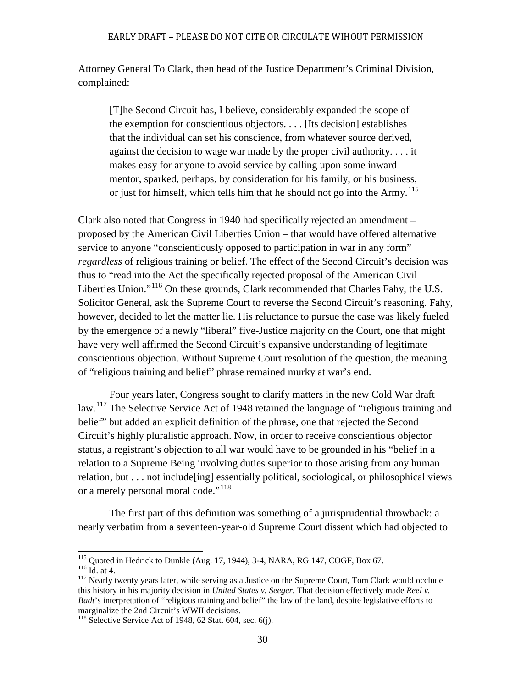Attorney General To Clark, then head of the Justice Department's Criminal Division, complained:

[T]he Second Circuit has, I believe, considerably expanded the scope of the exemption for conscientious objectors. . . . [Its decision] establishes that the individual can set his conscience, from whatever source derived, against the decision to wage war made by the proper civil authority. . . . it makes easy for anyone to avoid service by calling upon some inward mentor, sparked, perhaps, by consideration for his family, or his business, or just for himself, which tells him that he should not go into the  $Army$ <sup>[115](#page-33-0)</sup>

Clark also noted that Congress in 1940 had specifically rejected an amendment – proposed by the American Civil Liberties Union – that would have offered alternative service to anyone "conscientiously opposed to participation in war in any form" *regardless* of religious training or belief. The effect of the Second Circuit's decision was thus to "read into the Act the specifically rejected proposal of the American Civil Liberties Union."[116](#page-33-1) On these grounds, Clark recommended that Charles Fahy, the U.S. Solicitor General, ask the Supreme Court to reverse the Second Circuit's reasoning. Fahy, however, decided to let the matter lie. His reluctance to pursue the case was likely fueled by the emergence of a newly "liberal" five-Justice majority on the Court, one that might have very well affirmed the Second Circuit's expansive understanding of legitimate conscientious objection. Without Supreme Court resolution of the question, the meaning of "religious training and belief" phrase remained murky at war's end.

Four years later, Congress sought to clarify matters in the new Cold War draft law.<sup>[117](#page-33-2)</sup> The Selective Service Act of 1948 retained the language of "religious training and belief" but added an explicit definition of the phrase, one that rejected the Second Circuit's highly pluralistic approach. Now, in order to receive conscientious objector status, a registrant's objection to all war would have to be grounded in his "belief in a relation to a Supreme Being involving duties superior to those arising from any human relation, but . . . not include[ing] essentially political, sociological, or philosophical views or a merely personal moral code."<sup>[118](#page-33-3)</sup>

The first part of this definition was something of a jurisprudential throwback: a nearly verbatim from a seventeen-year-old Supreme Court dissent which had objected to

<span id="page-33-0"></span><sup>&</sup>lt;sup>115</sup> Quoted in Hedrick to Dunkle (Aug. 17, 1944), 3-4, NARA, RG 147, COGF, Box 67.<br><sup>116</sup> Id. at 4. <sup>117</sup> Nearly twenty years later, while serving as a Justice on the Supreme Court, Tom Clark would occlude

<span id="page-33-2"></span><span id="page-33-1"></span>

this history in his majority decision in *United States v. Seeger*. That decision effectively made *Reel v. Badt*'s interpretation of "religious training and belief" the law of the land, despite legislative efforts to marginalize the 2nd Circuit's WWII decisions.

<span id="page-33-3"></span> $118$  Selective Service Act of 1948, 62 Stat. 604, sec. 6(j).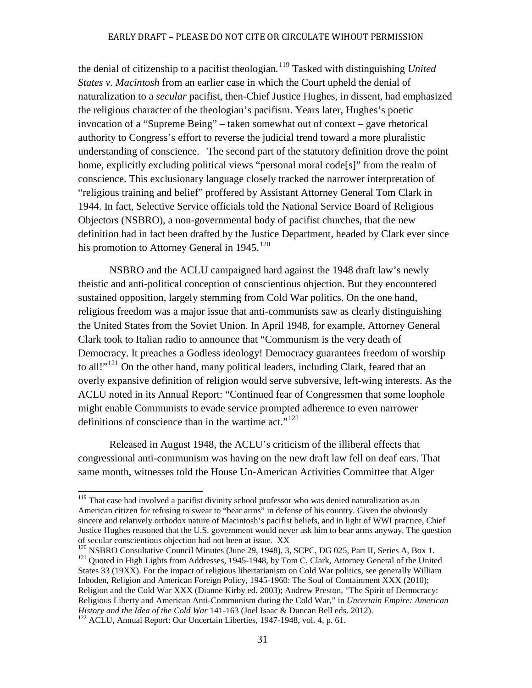the denial of citizenship to a pacifist theologian*.* [119](#page-34-0) Tasked with distinguishing *United States v. Macintosh* from an earlier case in which the Court upheld the denial of naturalization to a *secular* pacifist, then-Chief Justice Hughes, in dissent, had emphasized the religious character of the theologian's pacifism. Years later, Hughes's poetic invocation of a "Supreme Being" – taken somewhat out of context – gave rhetorical authority to Congress's effort to reverse the judicial trend toward a more pluralistic understanding of conscience. The second part of the statutory definition drove the point home, explicitly excluding political views "personal moral code[s]" from the realm of conscience. This exclusionary language closely tracked the narrower interpretation of "religious training and belief" proffered by Assistant Attorney General Tom Clark in 1944. In fact, Selective Service officials told the National Service Board of Religious Objectors (NSBRO), a non-governmental body of pacifist churches, that the new definition had in fact been drafted by the Justice Department, headed by Clark ever since his promotion to Attorney General in  $1945$ <sup>[120](#page-34-1)</sup>

NSBRO and the ACLU campaigned hard against the 1948 draft law's newly theistic and anti-political conception of conscientious objection. But they encountered sustained opposition, largely stemming from Cold War politics. On the one hand, religious freedom was a major issue that anti-communists saw as clearly distinguishing the United States from the Soviet Union. In April 1948, for example, Attorney General Clark took to Italian radio to announce that "Communism is the very death of Democracy. It preaches a Godless ideology! Democracy guarantees freedom of worship to all!"<sup>[121](#page-34-2)</sup> On the other hand, many political leaders, including Clark, feared that an overly expansive definition of religion would serve subversive, left-wing interests. As the ACLU noted in its Annual Report: "Continued fear of Congressmen that some loophole might enable Communists to evade service prompted adherence to even narrower definitions of conscience than in the wartime act." $122$ 

Released in August 1948, the ACLU's criticism of the illiberal effects that congressional anti-communism was having on the new draft law fell on deaf ears. That same month, witnesses told the House Un-American Activities Committee that Alger

<span id="page-34-0"></span><sup>&</sup>lt;sup>119</sup> That case had involved a pacifist divinity school professor who was denied naturalization as an American citizen for refusing to swear to "bear arms" in defense of his country. Given the obviously sincere and relatively orthodox nature of Macintosh's pacifist beliefs, and in light of WWI practice, Chief Justice Hughes reasoned that the U.S. government would never ask him to bear arms anyway. The question of secular conscientious objection had not been at issue. XX

<span id="page-34-2"></span><span id="page-34-1"></span><sup>&</sup>lt;sup>120</sup> NSBRO Consultative Council Minutes (June 29, 1948), 3, SCPC, DG 025, Part II, Series A, Box 1.<br><sup>121</sup> Quoted in High Lights from Addresses, 1945-1948, by Tom C. Clark, Attorney General of the United States 33 (19XX). For the impact of religious libertarianism on Cold War politics, see generally William Inboden, Religion and American Foreign Policy, 1945-1960: The Soul of Containment XXX (2010); Religion and the Cold War XXX (Dianne Kirby ed. 2003); Andrew Preston, "The Spirit of Democracy: Religious Liberty and American Anti-Communism during the Cold War," in *Uncertain Empire: American* 

<span id="page-34-3"></span><sup>&</sup>lt;sup>122</sup> ACLU, Annual Report: Our Uncertain Liberties, 1947-1948, vol. 4, p. 61.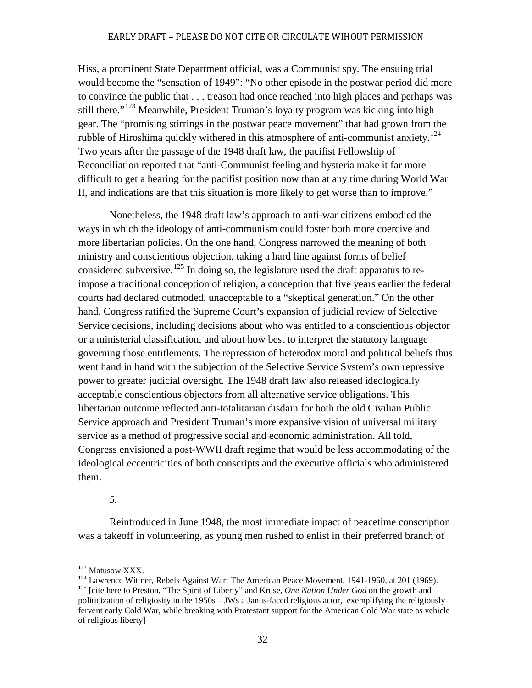Hiss, a prominent State Department official, was a Communist spy. The ensuing trial would become the "sensation of 1949": "No other episode in the postwar period did more to convince the public that . . . treason had once reached into high places and perhaps was still there."<sup>[123](#page-35-0)</sup> Meanwhile, President Truman's loyalty program was kicking into high gear. The "promising stirrings in the postwar peace movement" that had grown from the rubble of Hiroshima quickly withered in this atmosphere of anti-communist anxiety.<sup>[124](#page-35-1)</sup> Two years after the passage of the 1948 draft law, the pacifist Fellowship of Reconciliation reported that "anti-Communist feeling and hysteria make it far more difficult to get a hearing for the pacifist position now than at any time during World War II, and indications are that this situation is more likely to get worse than to improve."

Nonetheless, the 1948 draft law's approach to anti-war citizens embodied the ways in which the ideology of anti-communism could foster both more coercive and more libertarian policies. On the one hand, Congress narrowed the meaning of both ministry and conscientious objection, taking a hard line against forms of belief considered subversive.<sup>[125](#page-35-2)</sup> In doing so, the legislature used the draft apparatus to reimpose a traditional conception of religion, a conception that five years earlier the federal courts had declared outmoded, unacceptable to a "skeptical generation." On the other hand, Congress ratified the Supreme Court's expansion of judicial review of Selective Service decisions, including decisions about who was entitled to a conscientious objector or a ministerial classification, and about how best to interpret the statutory language governing those entitlements. The repression of heterodox moral and political beliefs thus went hand in hand with the subjection of the Selective Service System's own repressive power to greater judicial oversight. The 1948 draft law also released ideologically acceptable conscientious objectors from all alternative service obligations. This libertarian outcome reflected anti-totalitarian disdain for both the old Civilian Public Service approach and President Truman's more expansive vision of universal military service as a method of progressive social and economic administration. All told, Congress envisioned a post-WWII draft regime that would be less accommodating of the ideological eccentricities of both conscripts and the executive officials who administered them.

*5.*

Reintroduced in June 1948, the most immediate impact of peacetime conscription was a takeoff in volunteering, as young men rushed to enlist in their preferred branch of

<span id="page-35-2"></span><span id="page-35-1"></span><span id="page-35-0"></span><sup>&</sup>lt;sup>123</sup> Matusow XXX.<br><sup>124</sup> Lawrence Wittner, Rebels Against War: The American Peace Movement, 1941-1960, at 201 (1969).<br><sup>125</sup> [cite here to Preston, "The Spirit of Liberty" and Kruse, *One Nation Under God* on the growth and politicization of religiosity in the 1950s – JWs a Janus-faced religious actor, exemplifying the religiously fervent early Cold War, while breaking with Protestant support for the American Cold War state as vehicle of religious liberty]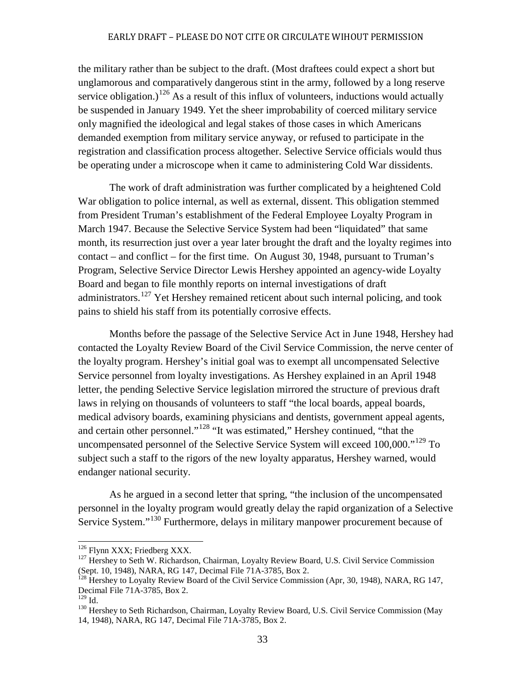the military rather than be subject to the draft. (Most draftees could expect a short but unglamorous and comparatively dangerous stint in the army, followed by a long reserve service obligation.)<sup>[126](#page-36-0)</sup> As a result of this influx of volunteers, inductions would actually be suspended in January 1949. Yet the sheer improbability of coerced military service only magnified the ideological and legal stakes of those cases in which Americans demanded exemption from military service anyway, or refused to participate in the registration and classification process altogether. Selective Service officials would thus be operating under a microscope when it came to administering Cold War dissidents.

The work of draft administration was further complicated by a heightened Cold War obligation to police internal, as well as external, dissent. This obligation stemmed from President Truman's establishment of the Federal Employee Loyalty Program in March 1947. Because the Selective Service System had been "liquidated" that same month, its resurrection just over a year later brought the draft and the loyalty regimes into contact – and conflict – for the first time. On August 30, 1948, pursuant to Truman's Program, Selective Service Director Lewis Hershey appointed an agency-wide Loyalty Board and began to file monthly reports on internal investigations of draft administrators.<sup>[127](#page-36-1)</sup> Yet Hershey remained reticent about such internal policing, and took pains to shield his staff from its potentially corrosive effects.

Months before the passage of the Selective Service Act in June 1948, Hershey had contacted the Loyalty Review Board of the Civil Service Commission, the nerve center of the loyalty program. Hershey's initial goal was to exempt all uncompensated Selective Service personnel from loyalty investigations. As Hershey explained in an April 1948 letter, the pending Selective Service legislation mirrored the structure of previous draft laws in relying on thousands of volunteers to staff "the local boards, appeal boards, medical advisory boards, examining physicians and dentists, government appeal agents, and certain other personnel."[128](#page-36-2) "It was estimated," Hershey continued, "that the uncompensated personnel of the Selective Service System will exceed  $100,000$ ."<sup>[129](#page-36-3)</sup> To subject such a staff to the rigors of the new loyalty apparatus, Hershey warned, would endanger national security.

As he argued in a second letter that spring, "the inclusion of the uncompensated personnel in the loyalty program would greatly delay the rapid organization of a Selective Service System."[130](#page-36-4) Furthermore, delays in military manpower procurement because of

<span id="page-36-1"></span><span id="page-36-0"></span> $126$  Flynn XXX; Friedberg XXX.<br> $127$  Hershey to Seth W. Richardson, Chairman, Loyalty Review Board, U.S. Civil Service Commission (Sept. 10, 1948), NARA, RG 147, Decimal File 71A-3785, Box 2.<br><sup>128</sup> Hershey to Loyalty Review Board of the Civil Service Commission (Apr, 30, 1948), NARA, RG 147,

<span id="page-36-2"></span>Decimal File 71A-3785, Box 2.<br><sup>129</sup> Id.

<span id="page-36-4"></span><span id="page-36-3"></span><sup>&</sup>lt;sup>130</sup> Hershey to Seth Richardson, Chairman, Loyalty Review Board, U.S. Civil Service Commission (May 14, 1948), NARA, RG 147, Decimal File 71A-3785, Box 2.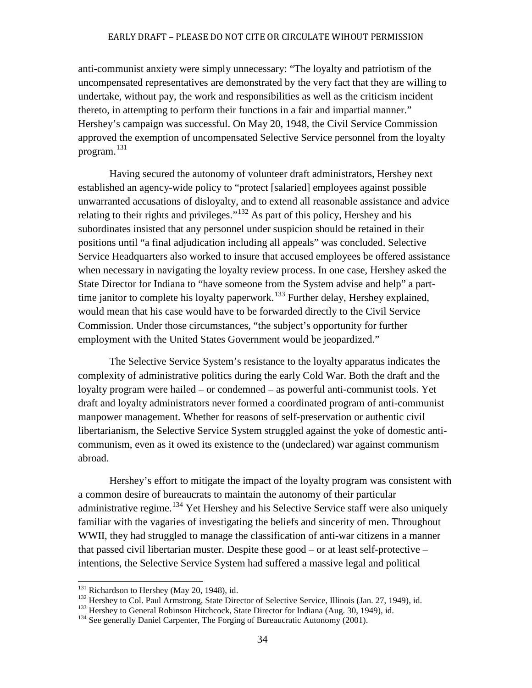anti-communist anxiety were simply unnecessary: "The loyalty and patriotism of the uncompensated representatives are demonstrated by the very fact that they are willing to undertake, without pay, the work and responsibilities as well as the criticism incident thereto, in attempting to perform their functions in a fair and impartial manner." Hershey's campaign was successful. On May 20, 1948, the Civil Service Commission approved the exemption of uncompensated Selective Service personnel from the loyalty program.<sup>[131](#page-37-0)</sup>

Having secured the autonomy of volunteer draft administrators, Hershey next established an agency-wide policy to "protect [salaried] employees against possible unwarranted accusations of disloyalty, and to extend all reasonable assistance and advice relating to their rights and privileges."<sup>[132](#page-37-1)</sup> As part of this policy, Hershey and his subordinates insisted that any personnel under suspicion should be retained in their positions until "a final adjudication including all appeals" was concluded. Selective Service Headquarters also worked to insure that accused employees be offered assistance when necessary in navigating the loyalty review process. In one case, Hershey asked the State Director for Indiana to "have someone from the System advise and help" a part-time janitor to complete his loyalty paperwork.<sup>[133](#page-37-2)</sup> Further delay, Hershey explained, would mean that his case would have to be forwarded directly to the Civil Service Commission. Under those circumstances, "the subject's opportunity for further employment with the United States Government would be jeopardized."

The Selective Service System's resistance to the loyalty apparatus indicates the complexity of administrative politics during the early Cold War. Both the draft and the loyalty program were hailed – or condemned – as powerful anti-communist tools. Yet draft and loyalty administrators never formed a coordinated program of anti-communist manpower management. Whether for reasons of self-preservation or authentic civil libertarianism, the Selective Service System struggled against the yoke of domestic anticommunism, even as it owed its existence to the (undeclared) war against communism abroad.

Hershey's effort to mitigate the impact of the loyalty program was consistent with a common desire of bureaucrats to maintain the autonomy of their particular administrative regime.<sup>[134](#page-37-3)</sup> Yet Hershey and his Selective Service staff were also uniquely familiar with the vagaries of investigating the beliefs and sincerity of men. Throughout WWII, they had struggled to manage the classification of anti-war citizens in a manner that passed civil libertarian muster. Despite these good – or at least self-protective – intentions, the Selective Service System had suffered a massive legal and political

<span id="page-37-1"></span><span id="page-37-0"></span><sup>&</sup>lt;sup>131</sup> Richardson to Hershey (May 20, 1948), id.<br><sup>132</sup> Hershey to Col. Paul Armstrong, State Director of Selective Service, Illinois (Jan. 27, 1949), id.<br><sup>133</sup> Hershey to General Robinson Hitchcock, State Director for Indi

<span id="page-37-3"></span><span id="page-37-2"></span>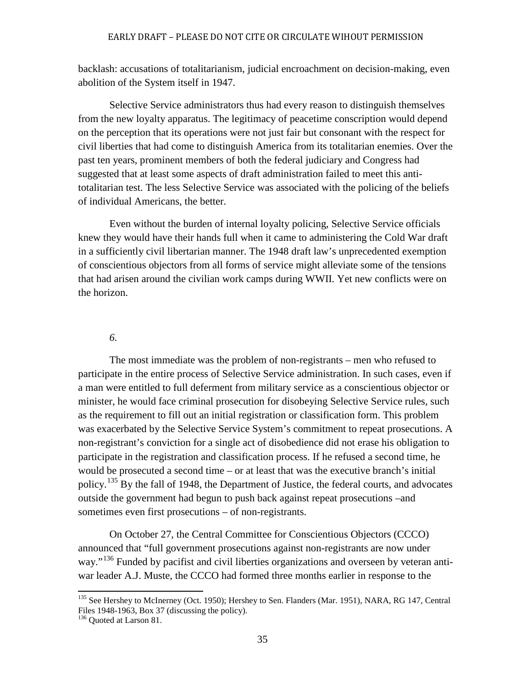backlash: accusations of totalitarianism, judicial encroachment on decision-making, even abolition of the System itself in 1947.

Selective Service administrators thus had every reason to distinguish themselves from the new loyalty apparatus. The legitimacy of peacetime conscription would depend on the perception that its operations were not just fair but consonant with the respect for civil liberties that had come to distinguish America from its totalitarian enemies. Over the past ten years, prominent members of both the federal judiciary and Congress had suggested that at least some aspects of draft administration failed to meet this antitotalitarian test. The less Selective Service was associated with the policing of the beliefs of individual Americans, the better.

Even without the burden of internal loyalty policing, Selective Service officials knew they would have their hands full when it came to administering the Cold War draft in a sufficiently civil libertarian manner. The 1948 draft law's unprecedented exemption of conscientious objectors from all forms of service might alleviate some of the tensions that had arisen around the civilian work camps during WWII. Yet new conflicts were on the horizon.

### *6.*

The most immediate was the problem of non-registrants – men who refused to participate in the entire process of Selective Service administration. In such cases, even if a man were entitled to full deferment from military service as a conscientious objector or minister, he would face criminal prosecution for disobeying Selective Service rules, such as the requirement to fill out an initial registration or classification form. This problem was exacerbated by the Selective Service System's commitment to repeat prosecutions. A non-registrant's conviction for a single act of disobedience did not erase his obligation to participate in the registration and classification process. If he refused a second time, he would be prosecuted a second time – or at least that was the executive branch's initial policy.[135](#page-38-0) By the fall of 1948, the Department of Justice, the federal courts, and advocates outside the government had begun to push back against repeat prosecutions –and sometimes even first prosecutions – of non-registrants.

On October 27, the Central Committee for Conscientious Objectors (CCCO) announced that "full government prosecutions against non-registrants are now under way."<sup>[136](#page-38-1)</sup> Funded by pacifist and civil liberties organizations and overseen by veteran antiwar leader A.J. Muste, the CCCO had formed three months earlier in response to the

<span id="page-38-0"></span><sup>&</sup>lt;sup>135</sup> See Hershey to McInerney (Oct. 1950); Hershey to Sen. Flanders (Mar. 1951), NARA, RG 147, Central Files 1948-1963, Box 37 (discussing the policy). <sup>136</sup> Quoted at Larson 81.

<span id="page-38-1"></span>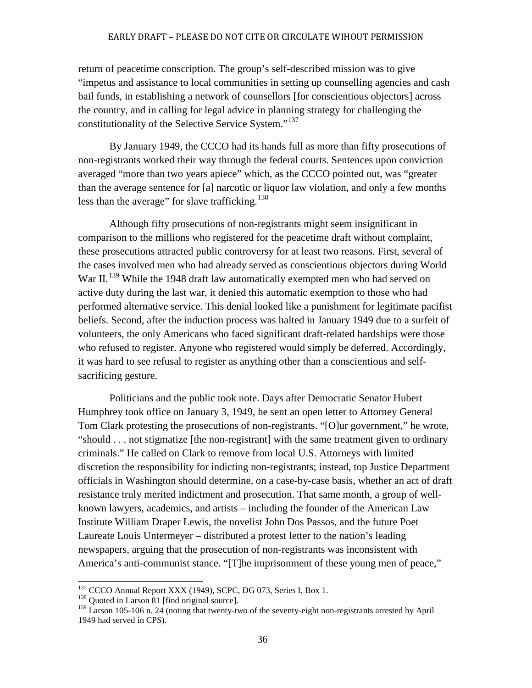return of peacetime conscription. The group's self-described mission was to give "impetus and assistance to local communities in setting up counselling agencies and cash bail funds, in establishing a network of counsellors [for conscientious objectors] across the country, and in calling for legal advice in planning strategy for challenging the constitutionality of the Selective Service System."<sup>[137](#page-39-0)</sup>

By January 1949, the CCCO had its hands full as more than fifty prosecutions of non-registrants worked their way through the federal courts. Sentences upon conviction averaged "more than two years apiece" which, as the CCCO pointed out, was "greater than the average sentence for [a] narcotic or liquor law violation, and only a few months less than the average" for slave trafficking.<sup>[138](#page-39-1)</sup>

Although fifty prosecutions of non-registrants might seem insignificant in comparison to the millions who registered for the peacetime draft without complaint, these prosecutions attracted public controversy for at least two reasons. First, several of the cases involved men who had already served as conscientious objectors during World War II.<sup>[139](#page-39-2)</sup> While the 1948 draft law automatically exempted men who had served on active duty during the last war, it denied this automatic exemption to those who had performed alternative service. This denial looked like a punishment for legitimate pacifist beliefs. Second, after the induction process was halted in January 1949 due to a surfeit of volunteers, the only Americans who faced significant draft-related hardships were those who refused to register. Anyone who registered would simply be deferred. Accordingly, it was hard to see refusal to register as anything other than a conscientious and selfsacrificing gesture.

Politicians and the public took note. Days after Democratic Senator Hubert Humphrey took office on January 3, 1949, he sent an open letter to Attorney General Tom Clark protesting the prosecutions of non-registrants. "[O]ur government," he wrote, "should . . . not stigmatize [the non-registrant] with the same treatment given to ordinary criminals." He called on Clark to remove from local U.S. Attorneys with limited discretion the responsibility for indicting non-registrants; instead, top Justice Department officials in Washington should determine, on a case-by-case basis, whether an act of draft resistance truly merited indictment and prosecution. That same month, a group of wellknown lawyers, academics, and artists – including the founder of the American Law Institute William Draper Lewis, the novelist John Dos Passos, and the future Poet Laureate Louis Untermeyer – distributed a protest letter to the nation's leading newspapers, arguing that the prosecution of non-registrants was inconsistent with America's anti-communist stance. "[T]he imprisonment of these young men of peace,"

<span id="page-39-0"></span> $137$  CCCO Annual Report XXX (1949), SCPC, DG 073, Series I, Box 1.  $138$  Quoted in Larson 81 [find original source].

<span id="page-39-2"></span><span id="page-39-1"></span><sup>&</sup>lt;sup>139</sup> Larson 105-106 n. 24 (noting that twenty-two of the seventy-eight non-registrants arrested by April 1949 had served in CPS).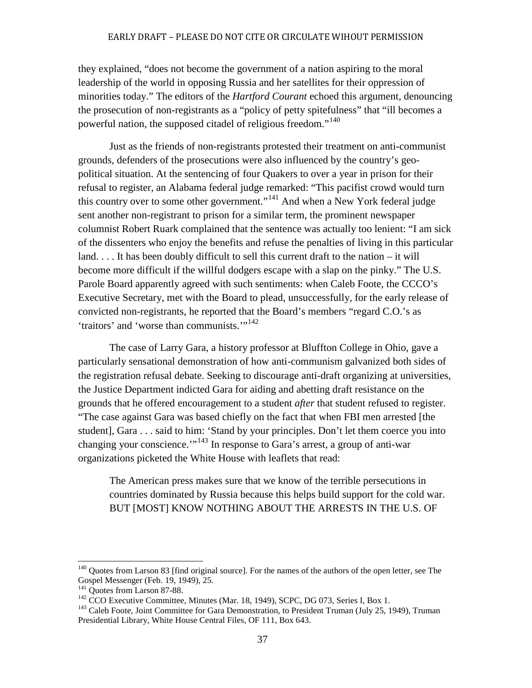they explained, "does not become the government of a nation aspiring to the moral leadership of the world in opposing Russia and her satellites for their oppression of minorities today." The editors of the *Hartford Courant* echoed this argument, denouncing the prosecution of non-registrants as a "policy of petty spitefulness" that "ill becomes a powerful nation, the supposed citadel of religious freedom."<sup>[140](#page-40-0)</sup>

Just as the friends of non-registrants protested their treatment on anti-communist grounds, defenders of the prosecutions were also influenced by the country's geopolitical situation. At the sentencing of four Quakers to over a year in prison for their refusal to register, an Alabama federal judge remarked: "This pacifist crowd would turn this country over to some other government."[141](#page-40-1) And when a New York federal judge sent another non-registrant to prison for a similar term, the prominent newspaper columnist Robert Ruark complained that the sentence was actually too lenient: "I am sick of the dissenters who enjoy the benefits and refuse the penalties of living in this particular land. . . . It has been doubly difficult to sell this current draft to the nation – it will become more difficult if the willful dodgers escape with a slap on the pinky." The U.S. Parole Board apparently agreed with such sentiments: when Caleb Foote, the CCCO's Executive Secretary, met with the Board to plead, unsuccessfully, for the early release of convicted non-registrants, he reported that the Board's members "regard C.O.'s as 'traitors' and 'worse than communists.'"<sup>[142](#page-40-2)</sup>

The case of Larry Gara, a history professor at Bluffton College in Ohio, gave a particularly sensational demonstration of how anti-communism galvanized both sides of the registration refusal debate. Seeking to discourage anti-draft organizing at universities, the Justice Department indicted Gara for aiding and abetting draft resistance on the grounds that he offered encouragement to a student *after* that student refused to register. "The case against Gara was based chiefly on the fact that when FBI men arrested [the student], Gara . . . said to him: 'Stand by your principles. Don't let them coerce you into changing your conscience.<sup> $\cdot$ ,,[143](#page-40-3)</sup> In response to Gara's arrest, a group of anti-war organizations picketed the White House with leaflets that read:

The American press makes sure that we know of the terrible persecutions in countries dominated by Russia because this helps build support for the cold war. BUT [MOST] KNOW NOTHING ABOUT THE ARRESTS IN THE U.S. OF

<span id="page-40-0"></span><sup>&</sup>lt;sup>140</sup> Quotes from Larson 83 [find original source]. For the names of the authors of the open letter, see The Gospel Messenger (Feb. 19, 1949), 25.<br><sup>141</sup> Quotes from Larson 87-88.

<span id="page-40-3"></span><span id="page-40-2"></span><span id="page-40-1"></span><sup>&</sup>lt;sup>142</sup> CCO Executive Committee, Minutes (Mar. 18, 1949), SCPC, DG 073, Series I, Box 1.<br><sup>143</sup> Caleb Foote, Joint Committee for Gara Demonstration, to President Truman (July 25, 1949), Truman Presidential Library, White House Central Files, OF 111, Box 643.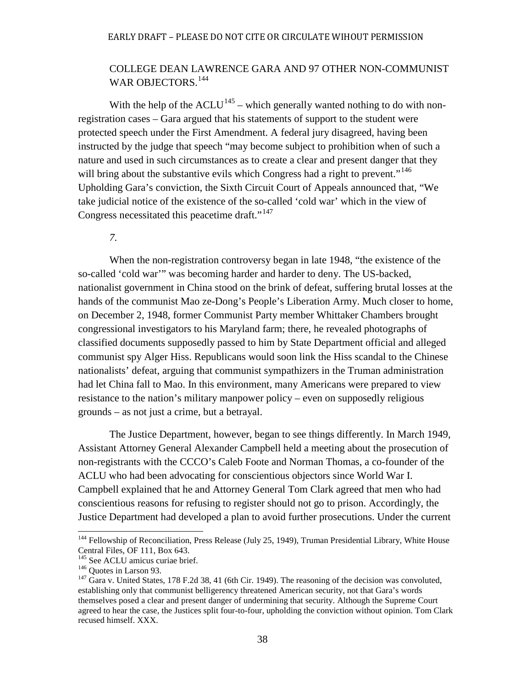# COLLEGE DEAN LAWRENCE GARA AND 97 OTHER NON-COMMUNIST WAR OBJECTORS.<sup>[144](#page-41-0)</sup>

With the help of the  $ACLU^{145}$  $ACLU^{145}$  $ACLU^{145}$  – which generally wanted nothing to do with nonregistration cases – Gara argued that his statements of support to the student were protected speech under the First Amendment. A federal jury disagreed, having been instructed by the judge that speech "may become subject to prohibition when of such a nature and used in such circumstances as to create a clear and present danger that they will bring about the substantive evils which Congress had a right to prevent."<sup>[146](#page-41-2)</sup> Upholding Gara's conviction, the Sixth Circuit Court of Appeals announced that, "We take judicial notice of the existence of the so-called 'cold war' which in the view of Congress necessitated this peacetime draft."<sup>[147](#page-41-3)</sup>

## *7.*

When the non-registration controversy began in late 1948, "the existence of the so-called 'cold war'" was becoming harder and harder to deny. The US-backed, nationalist government in China stood on the brink of defeat, suffering brutal losses at the hands of the communist Mao ze-Dong's People's Liberation Army. Much closer to home, on December 2, 1948, former Communist Party member Whittaker Chambers brought congressional investigators to his Maryland farm; there, he revealed photographs of classified documents supposedly passed to him by State Department official and alleged communist spy Alger Hiss. Republicans would soon link the Hiss scandal to the Chinese nationalists' defeat, arguing that communist sympathizers in the Truman administration had let China fall to Mao. In this environment, many Americans were prepared to view resistance to the nation's military manpower policy – even on supposedly religious grounds – as not just a crime, but a betrayal.

The Justice Department, however, began to see things differently. In March 1949, Assistant Attorney General Alexander Campbell held a meeting about the prosecution of non-registrants with the CCCO's Caleb Foote and Norman Thomas, a co-founder of the ACLU who had been advocating for conscientious objectors since World War I. Campbell explained that he and Attorney General Tom Clark agreed that men who had conscientious reasons for refusing to register should not go to prison. Accordingly, the Justice Department had developed a plan to avoid further prosecutions. Under the current

<span id="page-41-0"></span><sup>&</sup>lt;sup>144</sup> Fellowship of Reconciliation, Press Release (July 25, 1949), Truman Presidential Library, White House Central Files, OF 111, Box 643.<br><sup>145</sup> See ACLU amicus curiae brief.

<span id="page-41-3"></span><span id="page-41-2"></span><span id="page-41-1"></span><sup>&</sup>lt;sup>146</sup> Quotes in Larson 93. **147** Gara v. United States, 178 F.2d 38, 41 (6th Cir. 1949). The reasoning of the decision was convoluted, establishing only that communist belligerency threatened American security, not that Gara's words themselves posed a clear and present danger of undermining that security. Although the Supreme Court agreed to hear the case, the Justices split four-to-four, upholding the conviction without opinion. Tom Clark recused himself. XXX.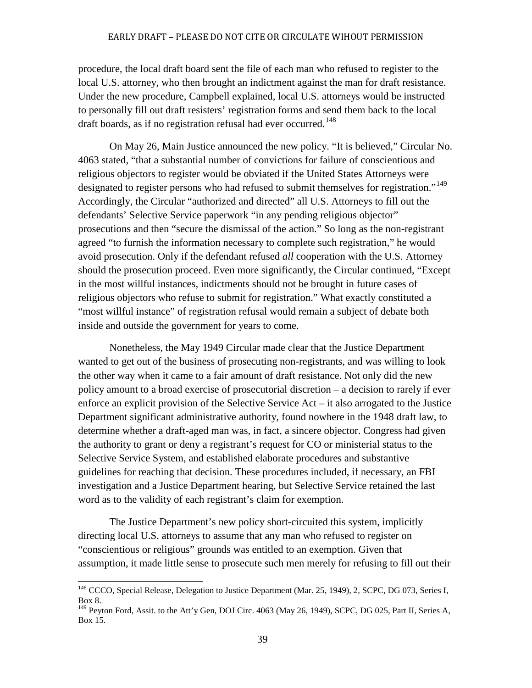procedure, the local draft board sent the file of each man who refused to register to the local U.S. attorney, who then brought an indictment against the man for draft resistance. Under the new procedure, Campbell explained, local U.S. attorneys would be instructed to personally fill out draft resisters' registration forms and send them back to the local draft boards, as if no registration refusal had ever occurred.<sup>[148](#page-42-0)</sup>

On May 26, Main Justice announced the new policy. "It is believed," Circular No. 4063 stated, "that a substantial number of convictions for failure of conscientious and religious objectors to register would be obviated if the United States Attorneys were designated to register persons who had refused to submit themselves for registration."<sup>[149](#page-42-1)</sup> Accordingly, the Circular "authorized and directed" all U.S. Attorneys to fill out the defendants' Selective Service paperwork "in any pending religious objector" prosecutions and then "secure the dismissal of the action." So long as the non-registrant agreed "to furnish the information necessary to complete such registration," he would avoid prosecution. Only if the defendant refused *all* cooperation with the U.S. Attorney should the prosecution proceed. Even more significantly, the Circular continued, "Except in the most willful instances, indictments should not be brought in future cases of religious objectors who refuse to submit for registration." What exactly constituted a "most willful instance" of registration refusal would remain a subject of debate both inside and outside the government for years to come.

Nonetheless, the May 1949 Circular made clear that the Justice Department wanted to get out of the business of prosecuting non-registrants, and was willing to look the other way when it came to a fair amount of draft resistance. Not only did the new policy amount to a broad exercise of prosecutorial discretion – a decision to rarely if ever enforce an explicit provision of the Selective Service Act – it also arrogated to the Justice Department significant administrative authority, found nowhere in the 1948 draft law, to determine whether a draft-aged man was, in fact, a sincere objector. Congress had given the authority to grant or deny a registrant's request for CO or ministerial status to the Selective Service System, and established elaborate procedures and substantive guidelines for reaching that decision. These procedures included, if necessary, an FBI investigation and a Justice Department hearing, but Selective Service retained the last word as to the validity of each registrant's claim for exemption.

The Justice Department's new policy short-circuited this system, implicitly directing local U.S. attorneys to assume that any man who refused to register on "conscientious or religious" grounds was entitled to an exemption. Given that assumption, it made little sense to prosecute such men merely for refusing to fill out their

<span id="page-42-0"></span><sup>&</sup>lt;sup>148</sup> CCCO, Special Release, Delegation to Justice Department (Mar. 25, 1949), 2, SCPC, DG 073, Series I, Box 8.

<span id="page-42-1"></span> $149$  Peyton Ford, Assit. to the Att'y Gen, DOJ Circ. 4063 (May 26, 1949), SCPC, DG 025, Part II, Series A, Box 15.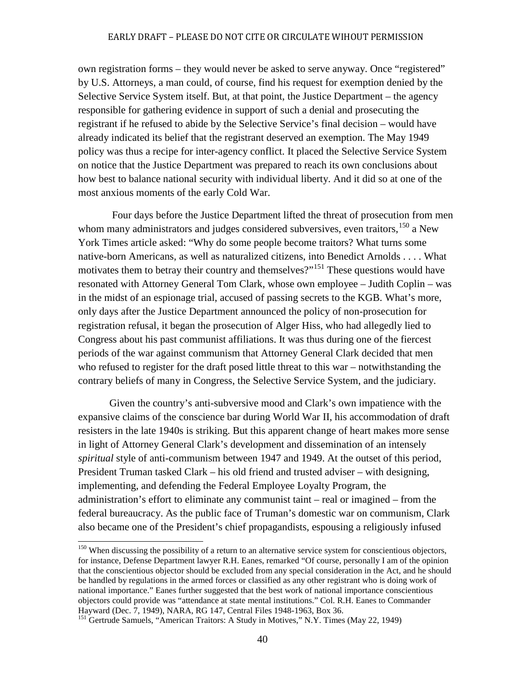own registration forms – they would never be asked to serve anyway. Once "registered" by U.S. Attorneys, a man could, of course, find his request for exemption denied by the Selective Service System itself. But, at that point, the Justice Department – the agency responsible for gathering evidence in support of such a denial and prosecuting the registrant if he refused to abide by the Selective Service's final decision – would have already indicated its belief that the registrant deserved an exemption. The May 1949 policy was thus a recipe for inter-agency conflict. It placed the Selective Service System on notice that the Justice Department was prepared to reach its own conclusions about how best to balance national security with individual liberty. And it did so at one of the most anxious moments of the early Cold War.

Four days before the Justice Department lifted the threat of prosecution from men whom many administrators and judges considered subversives, even traitors,<sup>[150](#page-43-0)</sup> a New York Times article asked: "Why do some people become traitors? What turns some native-born Americans, as well as naturalized citizens, into Benedict Arnolds . . . . What motivates them to betray their country and themselves?"<sup>[151](#page-43-1)</sup> These questions would have resonated with Attorney General Tom Clark, whose own employee – Judith Coplin – was in the midst of an espionage trial, accused of passing secrets to the KGB. What's more, only days after the Justice Department announced the policy of non-prosecution for registration refusal, it began the prosecution of Alger Hiss, who had allegedly lied to Congress about his past communist affiliations. It was thus during one of the fiercest periods of the war against communism that Attorney General Clark decided that men who refused to register for the draft posed little threat to this war – notwithstanding the contrary beliefs of many in Congress, the Selective Service System, and the judiciary.

Given the country's anti-subversive mood and Clark's own impatience with the expansive claims of the conscience bar during World War II, his accommodation of draft resisters in the late 1940s is striking. But this apparent change of heart makes more sense in light of Attorney General Clark's development and dissemination of an intensely *spiritual* style of anti-communism between 1947 and 1949. At the outset of this period, President Truman tasked Clark – his old friend and trusted adviser – with designing, implementing, and defending the Federal Employee Loyalty Program, the administration's effort to eliminate any communist taint – real or imagined – from the federal bureaucracy. As the public face of Truman's domestic war on communism, Clark also became one of the President's chief propagandists, espousing a religiously infused

<span id="page-43-0"></span><sup>&</sup>lt;sup>150</sup> When discussing the possibility of a return to an alternative service system for conscientious objectors, for instance, Defense Department lawyer R.H. Eanes, remarked "Of course, personally I am of the opinion that the conscientious objector should be excluded from any special consideration in the Act, and he should be handled by regulations in the armed forces or classified as any other registrant who is doing work of national importance." Eanes further suggested that the best work of national importance conscientious objectors could provide was "attendance at state mental institutions." Col. R.H. Eanes to Commander Hayward (Dec. 7, 1949), NARA, RG 147, Central Files 1948-1963, Box 36.

<span id="page-43-1"></span><sup>&</sup>lt;sup>151</sup> Gertrude Samuels, "American Traitors: A Study in Motives," N.Y. Times (May 22, 1949)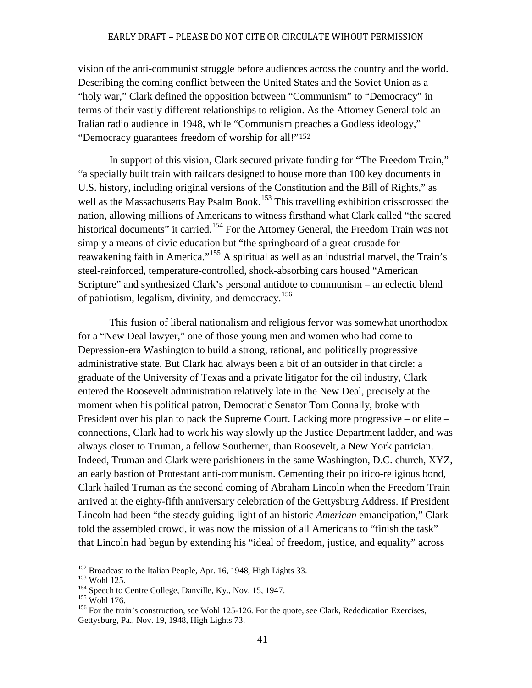vision of the anti-communist struggle before audiences across the country and the world. Describing the coming conflict between the United States and the Soviet Union as a "holy war," Clark defined the opposition between "Communism" to "Democracy" in terms of their vastly different relationships to religion. As the Attorney General told an Italian radio audience in 1948, while "Communism [prea](#page-44-0)ches a Godless ideology," "Democracy guarantees freedom of worship for all!"<sup>152</sup>

In support of this vision, Clark secured private funding for "The Freedom Train," "a specially built train with railcars designed to house more than 100 key documents in U.S. history, including original versions of the Constitution and the Bill of Rights," as well as the Massachusetts Bay Psalm Book.<sup>[153](#page-44-1)</sup> This travelling exhibition crisscrossed the nation, allowing millions of Americans to witness firsthand what Clark called "the sacred historical documents" it carried.<sup>[154](#page-44-2)</sup> For the Attorney General, the Freedom Train was not simply a means of civic education but "the springboard of a great crusade for reawakening faith in America."<sup>[155](#page-44-3)</sup> A spiritual as well as an industrial marvel, the Train's steel-reinforced, temperature-controlled, shock-absorbing cars housed "American Scripture" and synthesized Clark's personal antidote to communism – an eclectic blend of patriotism, legalism, divinity, and democracy.<sup>[156](#page-44-4)</sup>

This fusion of liberal nationalism and religious fervor was somewhat unorthodox for a "New Deal lawyer," one of those young men and women who had come to Depression-era Washington to build a strong, rational, and politically progressive administrative state. But Clark had always been a bit of an outsider in that circle: a graduate of the University of Texas and a private litigator for the oil industry, Clark entered the Roosevelt administration relatively late in the New Deal, precisely at the moment when his political patron, Democratic Senator Tom Connally, broke with President over his plan to pack the Supreme Court. Lacking more progressive – or elite – connections, Clark had to work his way slowly up the Justice Department ladder, and was always closer to Truman, a fellow Southerner, than Roosevelt, a New York patrician. Indeed, Truman and Clark were parishioners in the same Washington, D.C. church, XYZ, an early bastion of Protestant anti-communism. Cementing their politico-religious bond, Clark hailed Truman as the second coming of Abraham Lincoln when the Freedom Train arrived at the eighty-fifth anniversary celebration of the Gettysburg Address. If President Lincoln had been "the steady guiding light of an historic *American* emancipation," Clark told the assembled crowd, it was now the mission of all Americans to "finish the task" that Lincoln had begun by extending his "ideal of freedom, justice, and equality" across

<span id="page-44-1"></span>

<span id="page-44-2"></span>

<span id="page-44-4"></span><span id="page-44-3"></span>

<span id="page-44-0"></span><sup>&</sup>lt;sup>152</sup> Broadcast to the Italian People, Apr. 16, 1948, High Lights 33.<br><sup>153</sup> Wohl 125.<br><sup>154</sup> Speech to Centre College, Danville, Ky., Nov. 15, 1947.<br><sup>155</sup> Wohl 176.<br><sup>156</sup> For the train's construction, see Wohl 125-126. For Gettysburg, Pa., Nov. 19, 1948, High Lights 73.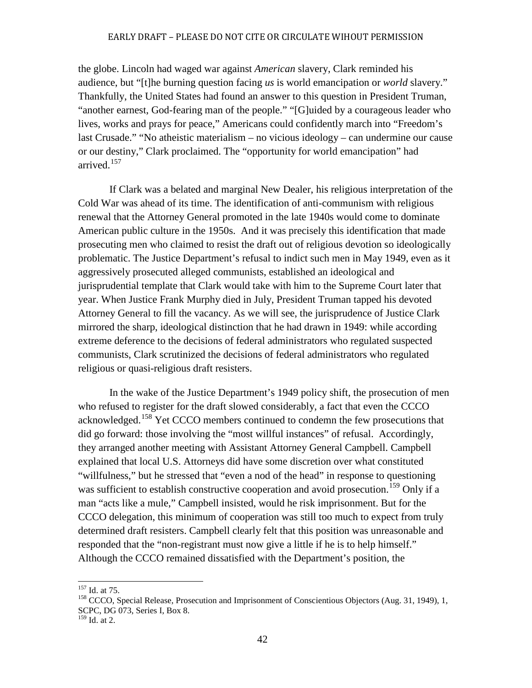the globe. Lincoln had waged war against *American* slavery, Clark reminded his audience, but "[t]he burning question facing *us* is world emancipation or *world* slavery." Thankfully, the United States had found an answer to this question in President Truman, "another earnest, God-fearing man of the people." "[G]uided by a courageous leader who lives, works and prays for peace," Americans could confidently march into "Freedom's last Crusade." "No atheistic materialism – no vicious ideology – can undermine our cause or our destiny," Clark proclaimed. The "opportunity for world emancipation" had arrived.<sup>[157](#page-45-0)</sup>

If Clark was a belated and marginal New Dealer, his religious interpretation of the Cold War was ahead of its time. The identification of anti-communism with religious renewal that the Attorney General promoted in the late 1940s would come to dominate American public culture in the 1950s. And it was precisely this identification that made prosecuting men who claimed to resist the draft out of religious devotion so ideologically problematic. The Justice Department's refusal to indict such men in May 1949, even as it aggressively prosecuted alleged communists, established an ideological and jurisprudential template that Clark would take with him to the Supreme Court later that year. When Justice Frank Murphy died in July, President Truman tapped his devoted Attorney General to fill the vacancy. As we will see, the jurisprudence of Justice Clark mirrored the sharp, ideological distinction that he had drawn in 1949: while according extreme deference to the decisions of federal administrators who regulated suspected communists, Clark scrutinized the decisions of federal administrators who regulated religious or quasi-religious draft resisters.

In the wake of the Justice Department's 1949 policy shift, the prosecution of men who refused to register for the draft slowed considerably, a fact that even the CCCO acknowledged.[158](#page-45-1) Yet CCCO members continued to condemn the few prosecutions that did go forward: those involving the "most willful instances" of refusal. Accordingly, they arranged another meeting with Assistant Attorney General Campbell. Campbell explained that local U.S. Attorneys did have some discretion over what constituted "willfulness," but he stressed that "even a nod of the head" in response to questioning was sufficient to establish constructive cooperation and avoid prosecution.<sup>[159](#page-45-2)</sup> Only if a man "acts like a mule," Campbell insisted, would he risk imprisonment. But for the CCCO delegation, this minimum of cooperation was still too much to expect from truly determined draft resisters. Campbell clearly felt that this position was unreasonable and responded that the "non-registrant must now give a little if he is to help himself." Although the CCCO remained dissatisfied with the Department's position, the

<span id="page-45-1"></span><span id="page-45-0"></span><sup>&</sup>lt;sup>157</sup> Id. at 75.<br><sup>158</sup> CCCO, Special Release, Prosecution and Imprisonment of Conscientious Objectors (Aug. 31, 1949), 1, SCPC, DG 073, Series I, Box 8.

<span id="page-45-2"></span><sup>159</sup> Id. at 2.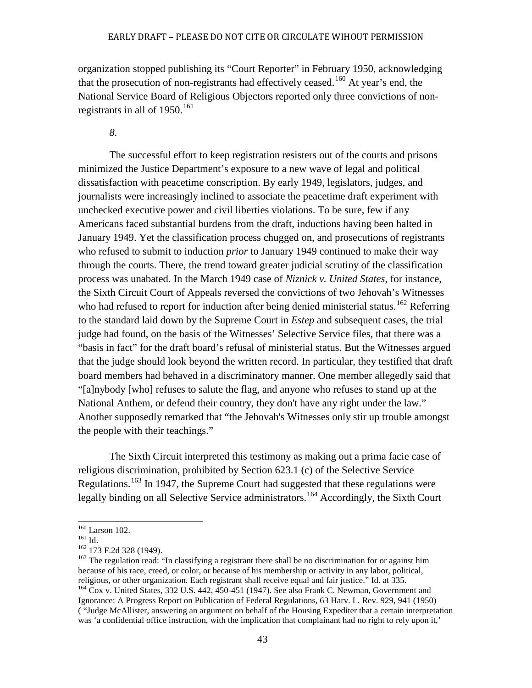organization stopped publishing its "Court Reporter" in February 1950, acknowledging that the prosecution of non-registrants had effectively ceased.<sup>[160](#page-46-0)</sup> At year's end, the National Service Board of Religious Objectors reported only three convictions of nonregistrants in all of  $1950$ .<sup>[161](#page-46-1)</sup>

*8.*

The successful effort to keep registration resisters out of the courts and prisons minimized the Justice Department's exposure to a new wave of legal and political dissatisfaction with peacetime conscription. By early 1949, legislators, judges, and journalists were increasingly inclined to associate the peacetime draft experiment with unchecked executive power and civil liberties violations. To be sure, few if any Americans faced substantial burdens from the draft, inductions having been halted in January 1949. Yet the classification process chugged on, and prosecutions of registrants who refused to submit to induction *prior* to January 1949 continued to make their way through the courts. There, the trend toward greater judicial scrutiny of the classification process was unabated. In the March 1949 case of *Niznick v. United States*, for instance, the Sixth Circuit Court of Appeals reversed the convictions of two Jehovah's Witnesses who had refused to report for induction after being denied ministerial status.<sup>[162](#page-46-2)</sup> Referring to the standard laid down by the Supreme Court in *Estep* and subsequent cases, the trial judge had found, on the basis of the Witnesses' Selective Service files, that there was a "basis in fact" for the draft board's refusal of ministerial status. But the Witnesses argued that the judge should look beyond the written record. In particular, they testified that draft board members had behaved in a discriminatory manner. One member allegedly said that "[a]nybody [who] refuses to salute the flag, and anyone who refuses to stand up at the National Anthem, or defend their country, they don't have any right under the law." Another supposedly remarked that "the Jehovah's Witnesses only stir up trouble amongst the people with their teachings."

The Sixth Circuit interpreted this testimony as making out a prima facie case of religious discrimination, prohibited by Section 623.1 (c) of the Selective Service Regulations.<sup>[163](#page-46-3)</sup> In 1947, the Supreme Court had suggested that these regulations were legally binding on all Selective Service administrators.<sup>[164](#page-46-4)</sup> Accordingly, the Sixth Court

<span id="page-46-3"></span><span id="page-46-2"></span>

<span id="page-46-1"></span><span id="page-46-0"></span><sup>&</sup>lt;sup>160</sup> Larson 102.<br><sup>161</sup> Id.<br><sup>162</sup> 173 F.2d 328 (1949).<br><sup>163</sup> The regulation read: "In classifying a registrant there shall be no discrimination for or against him because of his race, creed, or color, or because of his membership or activity in any labor, political, religious, or other organization. Each registrant shall receive equal and fair justice." Id. at 335.<br><sup>164</sup> Cox v. United States, 332 U.S. 442, 450-451 (1947). See also Frank C. Newman, Government and

<span id="page-46-4"></span>Ignorance: A Progress Report on Publication of Federal Regulations, 63 Harv. L. Rev. 929, 941 (1950) ( "Judge McAllister, answering an argument on behalf of the Housing Expediter that a certain interpretation was 'a confidential office instruction, with the implication that complainant had no right to rely upon it,'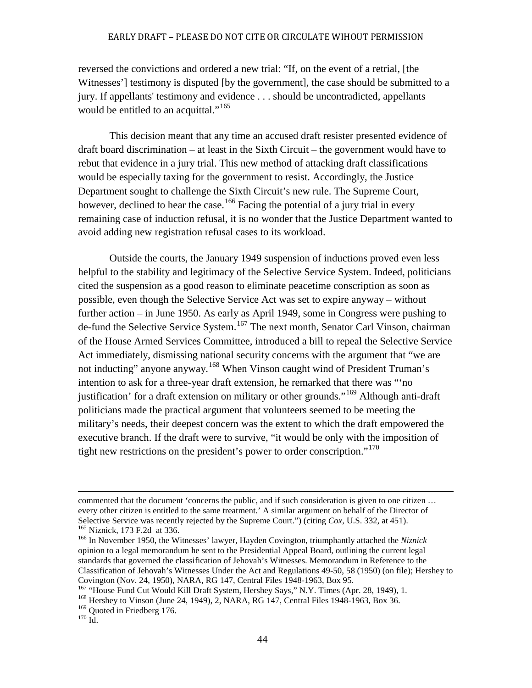reversed the convictions and ordered a new trial: "If, on the event of a retrial, [the Witnesses'] testimony is disputed [by the government], the case should be submitted to a jury. If appellants' testimony and evidence . . . should be uncontradicted, appellants would be entitled to an acquittal."<sup>[165](#page-47-0)</sup>

This decision meant that any time an accused draft resister presented evidence of draft board discrimination – at least in the Sixth Circuit – the government would have to rebut that evidence in a jury trial. This new method of attacking draft classifications would be especially taxing for the government to resist. Accordingly, the Justice Department sought to challenge the Sixth Circuit's new rule. The Supreme Court, however, declined to hear the case.<sup>[166](#page-47-1)</sup> Facing the potential of a jury trial in every remaining case of induction refusal, it is no wonder that the Justice Department wanted to avoid adding new registration refusal cases to its workload.

Outside the courts, the January 1949 suspension of inductions proved even less helpful to the stability and legitimacy of the Selective Service System. Indeed, politicians cited the suspension as a good reason to eliminate peacetime conscription as soon as possible, even though the Selective Service Act was set to expire anyway – without further action – in June 1950. As early as April 1949, some in Congress were pushing to de-fund the Selective Service System.<sup>[167](#page-47-2)</sup> The next month, Senator Carl Vinson, chairman of the House Armed Services Committee, introduced a bill to repeal the Selective Service Act immediately, dismissing national security concerns with the argument that "we are not inducting" anyone anyway.<sup>[168](#page-47-3)</sup> When Vinson caught wind of President Truman's intention to ask for a three-year draft extension, he remarked that there was "'no justification' for a draft extension on military or other grounds."[169](#page-47-4) Although anti-draft politicians made the practical argument that volunteers seemed to be meeting the military's needs, their deepest concern was the extent to which the draft empowered the executive branch. If the draft were to survive, "it would be only with the imposition of tight new restrictions on the president's power to order conscription."<sup>[170](#page-47-5)</sup>

j commented that the document 'concerns the public, and if such consideration is given to one citizen … every other citizen is entitled to the same treatment.' A similar argument on behalf of the Director of Selective Service was recently rejected by the Supreme Court.'') (citing Cox, U.S. 332, at 451).  $^{165}$  Niznick, 173 F.2d at 336.<br> $^{166}$  In November 1950, the Witnesses' lawyer, Hayden Covington, triumphantly attached the *Niznick* 

<span id="page-47-1"></span><span id="page-47-0"></span>opinion to a legal memorandum he sent to the Presidential Appeal Board, outlining the current legal standards that governed the classification of Jehovah's Witnesses. Memorandum in Reference to the Classification of Jehovah's Witnesses Under the Act and Regulations 49-50, 58 (1950) (on file); Hershey to

<span id="page-47-2"></span> $^{167}$  "House Fund Cut Would Kill Draft System, Hershey Says," N.Y. Times (Apr. 28, 1949), 1.<br><sup>168</sup> Hershey to Vinson (June 24, 1949), 2, NARA, RG 147, Central Files 1948-1963, Box 36.

<span id="page-47-5"></span><span id="page-47-4"></span><span id="page-47-3"></span> $1^{169}$  Quoted in Friedberg 176.<br> $1^{170}$  Id.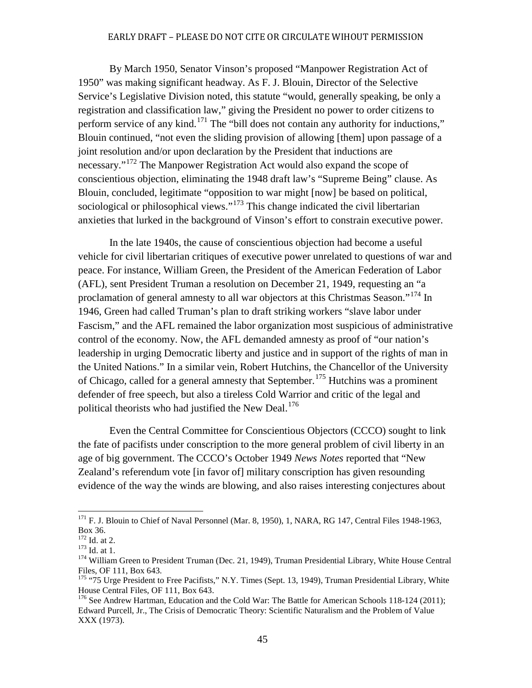By March 1950, Senator Vinson's proposed "Manpower Registration Act of 1950" was making significant headway. As F. J. Blouin, Director of the Selective Service's Legislative Division noted, this statute "would, generally speaking, be only a registration and classification law," giving the President no power to order citizens to perform service of any kind.<sup>[171](#page-48-0)</sup> The "bill does not contain any authority for inductions," Blouin continued, "not even the sliding provision of allowing [them] upon passage of a joint resolution and/or upon declaration by the President that inductions are necessary."[172](#page-48-1) The Manpower Registration Act would also expand the scope of conscientious objection, eliminating the 1948 draft law's "Supreme Being" clause. As Blouin, concluded, legitimate "opposition to war might [now] be based on political, sociological or philosophical views."<sup>[173](#page-48-2)</sup> This change indicated the civil libertarian anxieties that lurked in the background of Vinson's effort to constrain executive power.

In the late 1940s, the cause of conscientious objection had become a useful vehicle for civil libertarian critiques of executive power unrelated to questions of war and peace. For instance, William Green, the President of the American Federation of Labor (AFL), sent President Truman a resolution on December 21, 1949, requesting an "a proclamation of general amnesty to all war objectors at this Christmas Season."<sup>[174](#page-48-3)</sup> In 1946, Green had called Truman's plan to draft striking workers "slave labor under Fascism," and the AFL remained the labor organization most suspicious of administrative control of the economy. Now, the AFL demanded amnesty as proof of "our nation's leadership in urging Democratic liberty and justice and in support of the rights of man in the United Nations." In a similar vein, Robert Hutchins, the Chancellor of the University of Chicago, called for a general amnesty that September.<sup>[175](#page-48-4)</sup> Hutchins was a prominent defender of free speech, but also a tireless Cold Warrior and critic of the legal and political theorists who had justified the New Deal.<sup>[176](#page-48-5)</sup>

Even the Central Committee for Conscientious Objectors (CCCO) sought to link the fate of pacifists under conscription to the more general problem of civil liberty in an age of big government. The CCCO's October 1949 *News Notes* reported that "New Zealand's referendum vote [in favor of] military conscription has given resounding evidence of the way the winds are blowing, and also raises interesting conjectures about

<span id="page-48-0"></span><sup>&</sup>lt;sup>171</sup> F. J. Blouin to Chief of Naval Personnel (Mar. 8, 1950), 1, NARA, RG 147, Central Files 1948-1963, Box 36.<br> $172$  Id. at 2.

<span id="page-48-3"></span><span id="page-48-2"></span><span id="page-48-1"></span><sup>173</sup> Id. at 2.<br><sup>173</sup> Id. at 1.<br><sup>174</sup> William Green to President Truman (Dec. 21, 1949), Truman Presidential Library, White House Central Files, OF 111, Box 643.

<span id="page-48-4"></span><sup>&</sup>lt;sup>175</sup> "75 Urge President to Free Pacifists," N.Y. Times (Sept. 13, 1949), Truman Presidential Library, White House Central Files, OF 111, Box 643.

<span id="page-48-5"></span><sup>&</sup>lt;sup>176</sup> See Andrew Hartman, Education and the Cold War: The Battle for American Schools 118-124 (2011); Edward Purcell, Jr., The Crisis of Democratic Theory: Scientific Naturalism and the Problem of Value XXX (1973).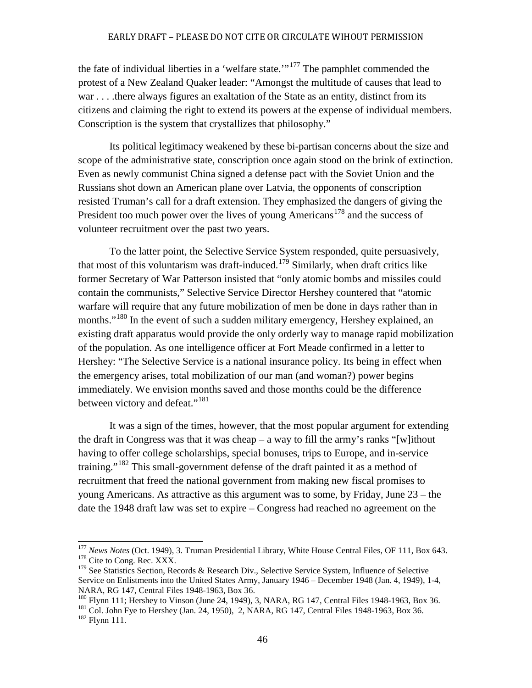the fate of individual liberties in a 'welfare state.'"<sup>[177](#page-49-0)</sup> The pamphlet commended the protest of a New Zealand Quaker leader: "Amongst the multitude of causes that lead to war . . . . there always figures an exaltation of the State as an entity, distinct from its citizens and claiming the right to extend its powers at the expense of individual members. Conscription is the system that crystallizes that philosophy."

Its political legitimacy weakened by these bi-partisan concerns about the size and scope of the administrative state, conscription once again stood on the brink of extinction. Even as newly communist China signed a defense pact with the Soviet Union and the Russians shot down an American plane over Latvia, the opponents of conscription resisted Truman's call for a draft extension. They emphasized the dangers of giving the President too much power over the lives of young Americans<sup>[178](#page-49-1)</sup> and the success of volunteer recruitment over the past two years.

To the latter point, the Selective Service System responded, quite persuasively, that most of this voluntarism was draft-induced.<sup>[179](#page-49-2)</sup> Similarly, when draft critics like former Secretary of War Patterson insisted that "only atomic bombs and missiles could contain the communists," Selective Service Director Hershey countered that "atomic warfare will require that any future mobilization of men be done in days rather than in months."<sup>[180](#page-49-3)</sup> In the event of such a sudden military emergency, Hershey explained, an existing draft apparatus would provide the only orderly way to manage rapid mobilization of the population. As one intelligence officer at Fort Meade confirmed in a letter to Hershey: "The Selective Service is a national insurance policy. Its being in effect when the emergency arises, total mobilization of our man (and woman?) power begins immediately. We envision months saved and those months could be the difference between victory and defeat."<sup>[181](#page-49-4)</sup>

It was a sign of the times, however, that the most popular argument for extending the draft in Congress was that it was cheap – a way to fill the army's ranks "[w] ithout having to offer college scholarships, special bonuses, trips to Europe, and in-service training."<sup>[182](#page-49-5)</sup> This small-government defense of the draft painted it as a method of recruitment that freed the national government from making new fiscal promises to young Americans. As attractive as this argument was to some, by Friday, June 23 – the date the 1948 draft law was set to expire – Congress had reached no agreement on the

<span id="page-49-0"></span><sup>&</sup>lt;sup>177</sup> *News Notes* (Oct. 1949), 3. Truman Presidential Library, White House Central Files, OF 111, Box 643.<br><sup>178</sup> Cite to Cong. Rec. XXX.

<span id="page-49-2"></span><span id="page-49-1"></span><sup>&</sup>lt;sup>179</sup> See Statistics Section, Records & Research Div., Selective Service System, Influence of Selective Service on Enlistments into the United States Army, January 1946 – December 1948 (Jan. 4, 1949), 1-4,

<span id="page-49-5"></span><span id="page-49-4"></span>

<span id="page-49-3"></span>NARA, RG 147, Central Files 1948-1963, Box 36.<br><sup>180</sup> Flynn 111; Hershey to Vinson (June 24, 1949), 3, NARA, RG 147, Central Files 1948-1963, Box 36.<br><sup>181</sup> Col. John Fye to Hershey (Jan. 24, 1950), 2, NARA, RG 147, Central